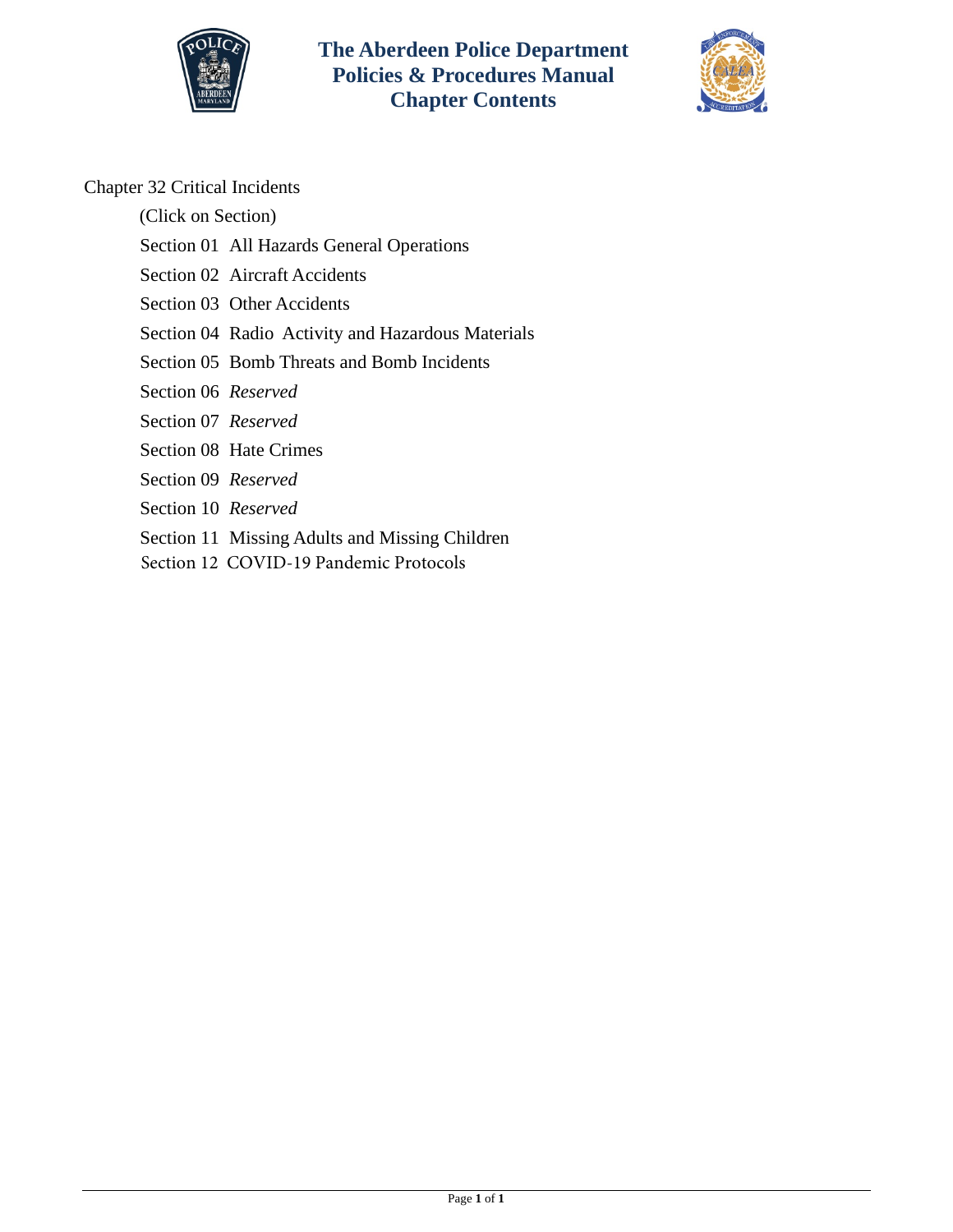



## Chapter 32 Critical Incidents

(Click on Section)

- [Section 01 All Hazards General Operations](#page-1-0)
- [Section 02 Aircraft Accidents](#page-10-0)
- [Section 03 Other Accidents](#page-14-0)
- [Section 04 Radio Activity and Hazardous Materials](#page-16-0)
- [Section 05 Bomb Threats and Bomb Incidents](#page-25-0)
- Section 06 *Reserved*
- Section 07 *Reserved*
- [Section 08 Hate Crimes](#page-27-0)
- Section 09 *Reserved*
- Section 10 *Reserved*
- [Section 11 Missing Adults and Missing Children](#page-20-0)
- [Section 12 COVID-19 Pandemic Protocols](#page-28-0)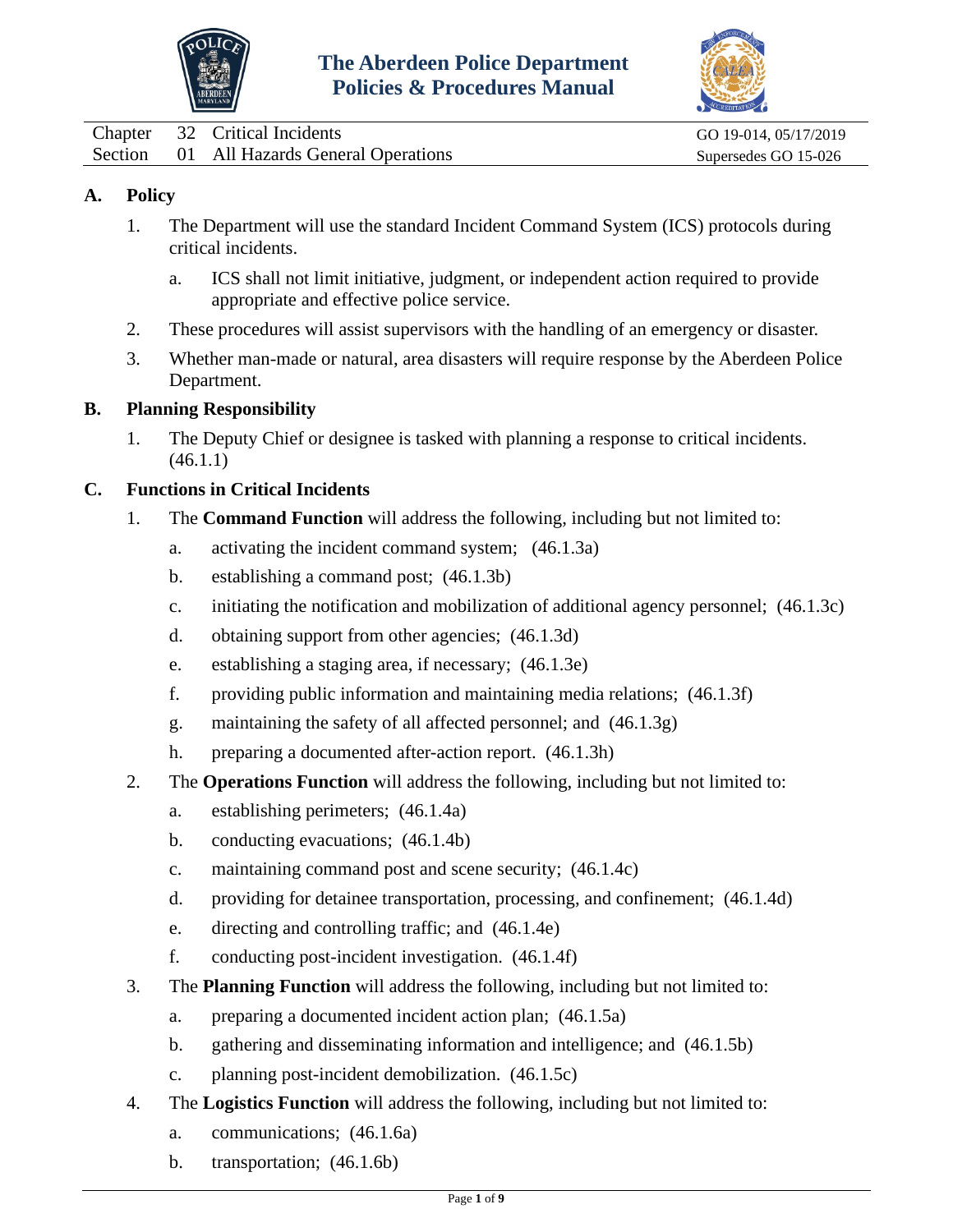



<span id="page-1-0"></span>Chapter 32 Critical Incidents GO 19-014, 05/17/2019 Section 01 All Hazards General Operations Supersedes GO 15-026

# **A. Policy**

- 1. The Department will use the standard Incident Command System (ICS) protocols during critical incidents.
	- a. ICS shall not limit initiative, judgment, or independent action required to provide appropriate and effective police service.
- 2. These procedures will assist supervisors with the handling of an emergency or disaster.
- 3. Whether man-made or natural, area disasters will require response by the Aberdeen Police Department.

## **B. Planning Responsibility**

1. The Deputy Chief or designee is tasked with planning a response to critical incidents. (46.1.1)

## **C. Functions in Critical Incidents**

- 1. The **Command Function** will address the following, including but not limited to:
	- a. activating the incident command system; (46.1.3a)
	- b. establishing a command post; (46.1.3b)
	- c. initiating the notification and mobilization of additional agency personnel; (46.1.3c)
	- d. obtaining support from other agencies; (46.1.3d)
	- e. establishing a staging area, if necessary; (46.1.3e)
	- f. providing public information and maintaining media relations; (46.1.3f)
	- g. maintaining the safety of all affected personnel; and (46.1.3g)
	- h. preparing a documented after-action report. (46.1.3h)
- 2. The **Operations Function** will address the following, including but not limited to:
	- a. establishing perimeters; (46.1.4a)
	- b. conducting evacuations; (46.1.4b)
	- c. maintaining command post and scene security; (46.1.4c)
	- d. providing for detainee transportation, processing, and confinement; (46.1.4d)
	- e. directing and controlling traffic; and (46.1.4e)
	- f. conducting post-incident investigation. (46.1.4f)
- 3. The **Planning Function** will address the following, including but not limited to:
	- a. preparing a documented incident action plan; (46.1.5a)
	- b. gathering and disseminating information and intelligence; and (46.1.5b)
	- c. planning post-incident demobilization. (46.1.5c)
- 4. The **Logistics Function** will address the following, including but not limited to:
	- a. communications; (46.1.6a)
	- b. transportation; (46.1.6b)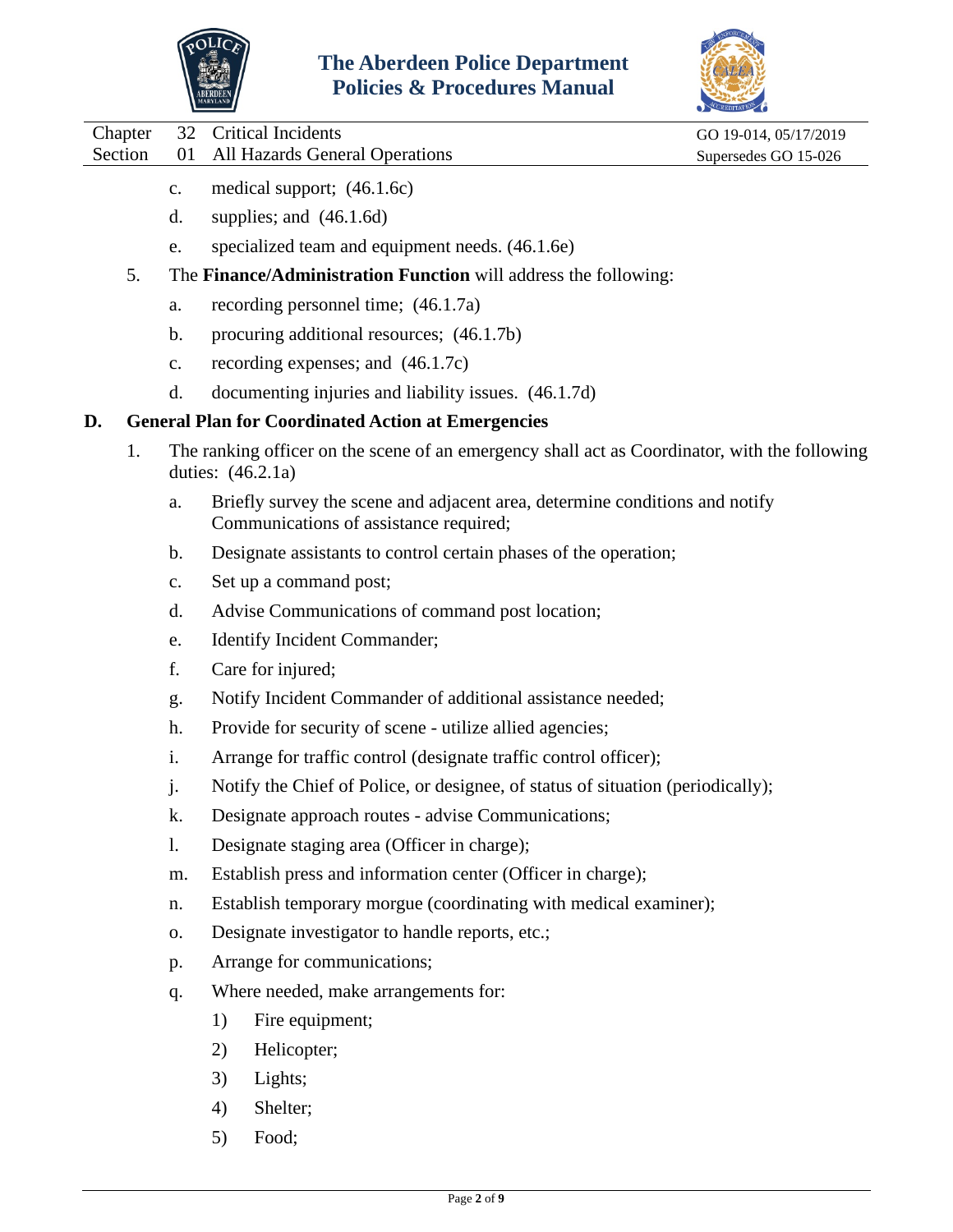



Chapter 32 Critical Incidents GO 19-014, 05/17/2019

Section 01 All Hazards General Operations Supersedes GO 15-026

- c. medical support; (46.1.6c)
- d. supplies; and (46.1.6d)
- e. specialized team and equipment needs. (46.1.6e)
- 5. The **Finance/Administration Function** will address the following:
	- a. recording personnel time; (46.1.7a)
	- b. procuring additional resources; (46.1.7b)
	- c. recording expenses; and (46.1.7c)
	- d. documenting injuries and liability issues. (46.1.7d)

#### **D. General Plan for Coordinated Action at Emergencies**

- 1. The ranking officer on the scene of an emergency shall act as Coordinator, with the following duties: (46.2.1a)
	- a. Briefly survey the scene and adjacent area, determine conditions and notify Communications of assistance required;
	- b. Designate assistants to control certain phases of the operation;
	- c. Set up a command post;
	- d. Advise Communications of command post location;
	- e. Identify Incident Commander;
	- f. Care for injured;
	- g. Notify Incident Commander of additional assistance needed;
	- h. Provide for security of scene utilize allied agencies;
	- i. Arrange for traffic control (designate traffic control officer);
	- j. Notify the Chief of Police, or designee, of status of situation (periodically);
	- k. Designate approach routes advise Communications;
	- l. Designate staging area (Officer in charge);
	- m. Establish press and information center (Officer in charge);
	- n. Establish temporary morgue (coordinating with medical examiner);
	- o. Designate investigator to handle reports, etc.;
	- p. Arrange for communications;
	- q. Where needed, make arrangements for:
		- 1) Fire equipment;
		- 2) Helicopter;
		- 3) Lights;
		- 4) Shelter;
		- 5) Food;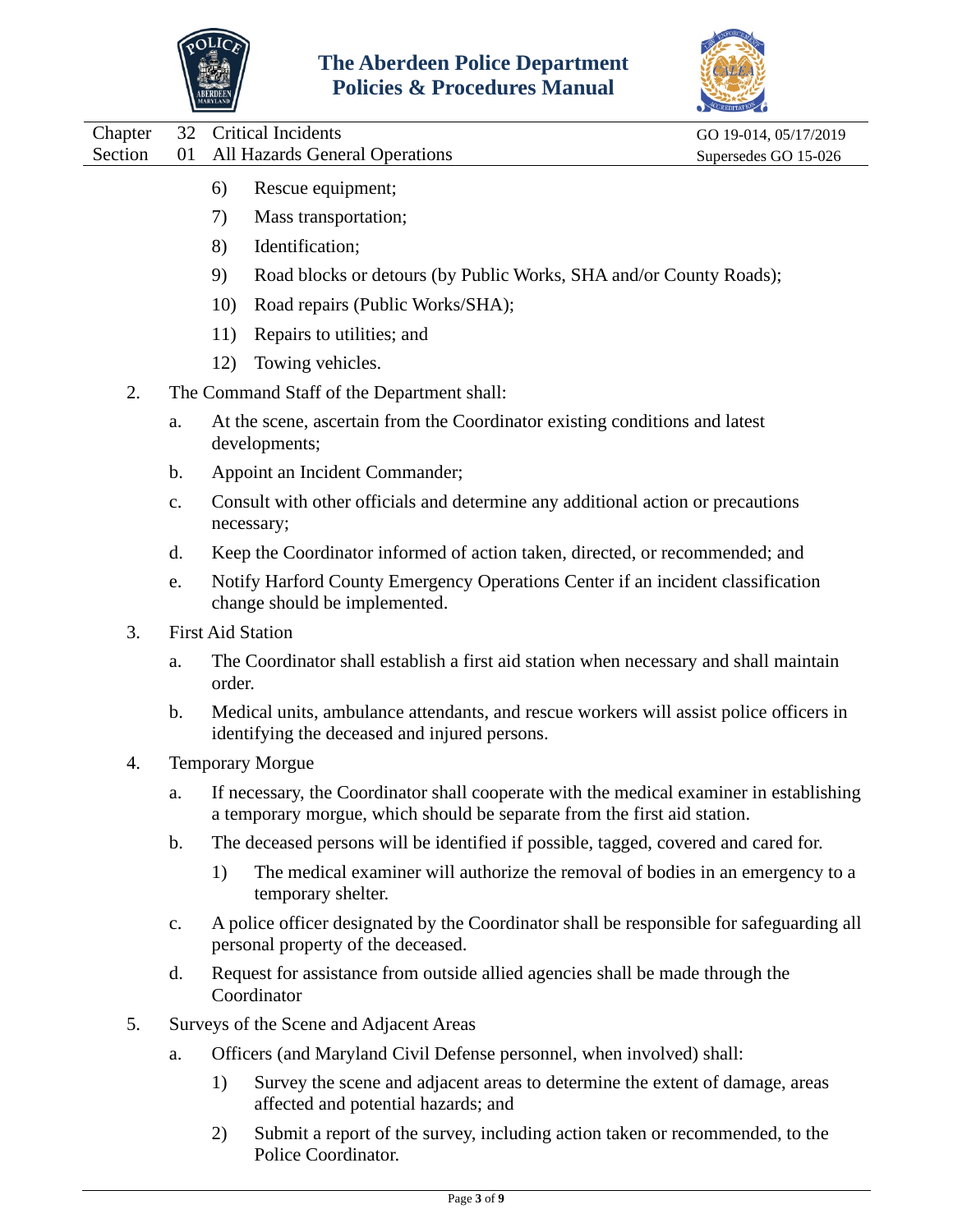



|         |               | ABERDEEN<br><sup>Maryland</sup> i | oncies et 1 roccuures ividinual                                                                                                                                     |                       |
|---------|---------------|-----------------------------------|---------------------------------------------------------------------------------------------------------------------------------------------------------------------|-----------------------|
| Chapter | 32            |                                   | <b>Critical Incidents</b>                                                                                                                                           | GO 19-014, 05/17/2019 |
| Section | 01            |                                   | All Hazards General Operations                                                                                                                                      | Supersedes GO 15-026  |
|         |               | 6)                                | Rescue equipment;                                                                                                                                                   |                       |
|         |               | 7)                                | Mass transportation;                                                                                                                                                |                       |
|         |               | 8)                                | Identification;                                                                                                                                                     |                       |
|         |               | 9)                                | Road blocks or detours (by Public Works, SHA and/or County Roads);                                                                                                  |                       |
|         |               | 10)                               | Road repairs (Public Works/SHA);                                                                                                                                    |                       |
|         |               | 11)                               | Repairs to utilities; and                                                                                                                                           |                       |
|         |               | 12)                               | Towing vehicles.                                                                                                                                                    |                       |
| 2.      |               |                                   | The Command Staff of the Department shall:                                                                                                                          |                       |
|         | a.            |                                   | At the scene, ascertain from the Coordinator existing conditions and latest<br>developments;                                                                        |                       |
|         | b.            |                                   | Appoint an Incident Commander;                                                                                                                                      |                       |
|         | c.            |                                   | Consult with other officials and determine any additional action or precautions<br>necessary;                                                                       |                       |
|         | d.            |                                   | Keep the Coordinator informed of action taken, directed, or recommended; and                                                                                        |                       |
|         | e.            |                                   | Notify Harford County Emergency Operations Center if an incident classification<br>change should be implemented.                                                    |                       |
| 3.      |               |                                   | <b>First Aid Station</b>                                                                                                                                            |                       |
|         | a.            | order.                            | The Coordinator shall establish a first aid station when necessary and shall maintain                                                                               |                       |
|         | $\mathbf b$ . |                                   | Medical units, ambulance attendants, and rescue workers will assist police officers in<br>identifying the deceased and injured persons.                             |                       |
| 4.      |               |                                   | <b>Temporary Morgue</b>                                                                                                                                             |                       |
|         | а.            |                                   | If necessary, the Coordinator shall cooperate with the medical examiner in establishing<br>a temporary morgue, which should be separate from the first aid station. |                       |
|         | b.            |                                   | The deceased persons will be identified if possible, tagged, covered and cared for.                                                                                 |                       |
|         |               | 1)                                | The medical examiner will authorize the removal of bodies in an emergency to a<br>temporary shelter.                                                                |                       |
|         | $C_{\bullet}$ |                                   | A police officer designated by the Coordinator shall be responsible for safeguarding all<br>personal property of the deceased.                                      |                       |
|         | d.            |                                   | Request for assistance from outside allied agencies shall be made through the<br>Coordinator                                                                        |                       |
| 5.      |               |                                   | Surveys of the Scene and Adjacent Areas                                                                                                                             |                       |
|         | a.            |                                   | Officers (and Maryland Civil Defense personnel, when involved) shall:                                                                                               |                       |
|         |               | 1)                                | Survey the scene and adjacent areas to determine the extent of damage, areas<br>affected and potential hazards; and                                                 |                       |

2) Submit a report of the survey, including action taken or recommended, to the Police Coordinator.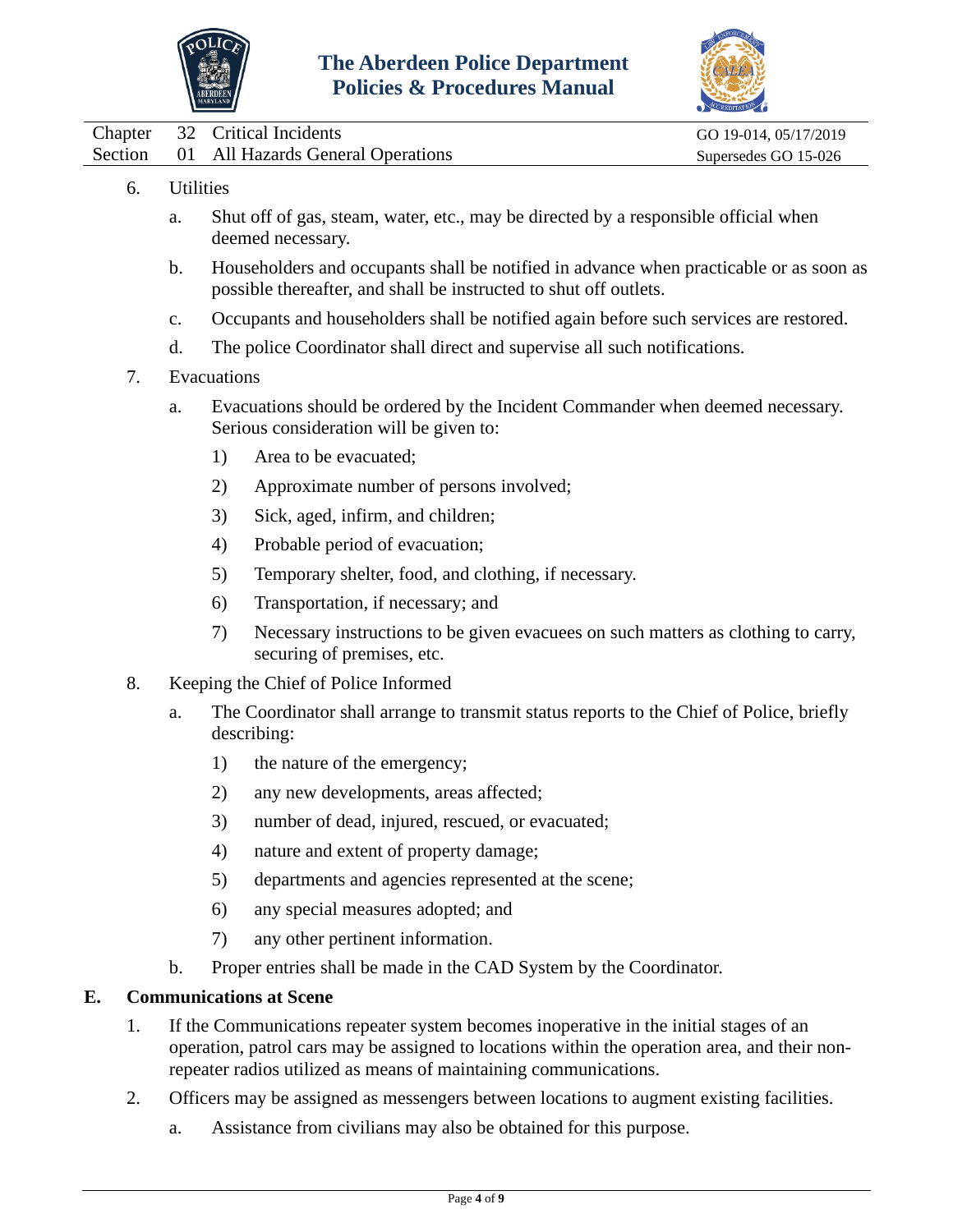



|  | Chapter 32 Critical Incidents             | GO 19-014, 05/17/2019 |
|--|-------------------------------------------|-----------------------|
|  | Section 01 All Hazards General Operations | Supersedes GO 15-026  |

- 6. Utilities
	- a. Shut off of gas, steam, water, etc., may be directed by a responsible official when deemed necessary.
	- b. Householders and occupants shall be notified in advance when practicable or as soon as possible thereafter, and shall be instructed to shut off outlets.
	- c. Occupants and householders shall be notified again before such services are restored.
	- d. The police Coordinator shall direct and supervise all such notifications.
- 7. Evacuations
	- a. Evacuations should be ordered by the Incident Commander when deemed necessary. Serious consideration will be given to:
		- 1) Area to be evacuated;
		- 2) Approximate number of persons involved;
		- 3) Sick, aged, infirm, and children;
		- 4) Probable period of evacuation;
		- 5) Temporary shelter, food, and clothing, if necessary.
		- 6) Transportation, if necessary; and
		- 7) Necessary instructions to be given evacuees on such matters as clothing to carry, securing of premises, etc.
- 8. Keeping the Chief of Police Informed
	- a. The Coordinator shall arrange to transmit status reports to the Chief of Police, briefly describing:
		- 1) the nature of the emergency;
		- 2) any new developments, areas affected;
		- 3) number of dead, injured, rescued, or evacuated;
		- 4) nature and extent of property damage;
		- 5) departments and agencies represented at the scene;
		- 6) any special measures adopted; and
		- 7) any other pertinent information.
	- b. Proper entries shall be made in the CAD System by the Coordinator.

#### **E. Communications at Scene**

- 1. If the Communications repeater system becomes inoperative in the initial stages of an operation, patrol cars may be assigned to locations within the operation area, and their nonrepeater radios utilized as means of maintaining communications.
- 2. Officers may be assigned as messengers between locations to augment existing facilities.
	- a. Assistance from civilians may also be obtained for this purpose.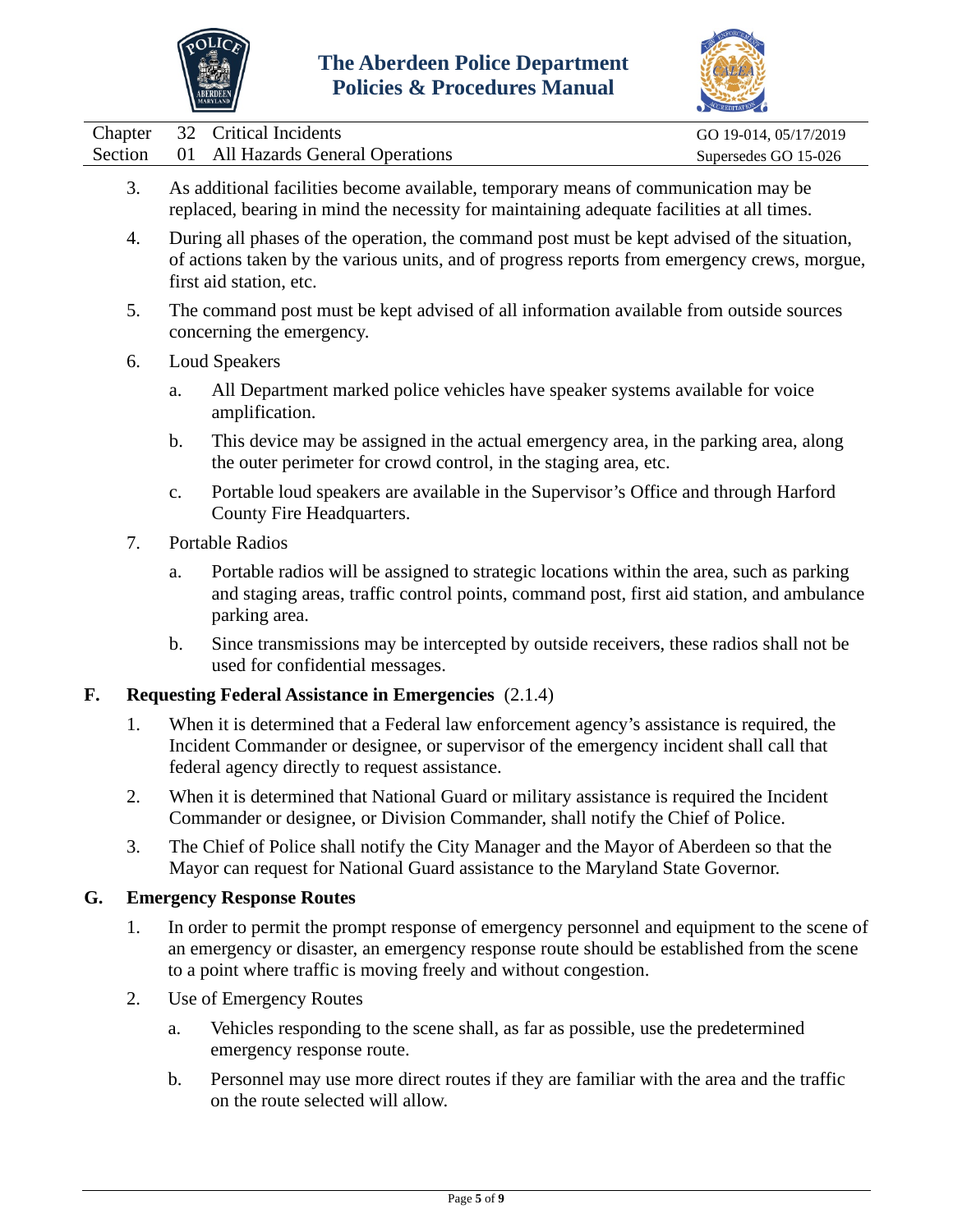



|  | Chapter 32 Critical Incidents             | GO 19-014, 05/17/2019 |
|--|-------------------------------------------|-----------------------|
|  | Section 01 All Hazards General Operations | Supersedes GO 15-026  |

- 3. As additional facilities become available, temporary means of communication may be replaced, bearing in mind the necessity for maintaining adequate facilities at all times.
- 4. During all phases of the operation, the command post must be kept advised of the situation, of actions taken by the various units, and of progress reports from emergency crews, morgue, first aid station, etc.
- 5. The command post must be kept advised of all information available from outside sources concerning the emergency.
- 6. Loud Speakers
	- a. All Department marked police vehicles have speaker systems available for voice amplification.
	- b. This device may be assigned in the actual emergency area, in the parking area, along the outer perimeter for crowd control, in the staging area, etc.
	- c. Portable loud speakers are available in the Supervisor's Office and through Harford County Fire Headquarters.
- 7. Portable Radios
	- a. Portable radios will be assigned to strategic locations within the area, such as parking and staging areas, traffic control points, command post, first aid station, and ambulance parking area.
	- b. Since transmissions may be intercepted by outside receivers, these radios shall not be used for confidential messages.

## **F. Requesting Federal Assistance in Emergencies** (2.1.4)

- 1. When it is determined that a Federal law enforcement agency's assistance is required, the Incident Commander or designee, or supervisor of the emergency incident shall call that federal agency directly to request assistance.
- 2. When it is determined that National Guard or military assistance is required the Incident Commander or designee, or Division Commander, shall notify the Chief of Police.
- 3. The Chief of Police shall notify the City Manager and the Mayor of Aberdeen so that the Mayor can request for National Guard assistance to the Maryland State Governor.

## **G. Emergency Response Routes**

- 1. In order to permit the prompt response of emergency personnel and equipment to the scene of an emergency or disaster, an emergency response route should be established from the scene to a point where traffic is moving freely and without congestion.
- 2. Use of Emergency Routes
	- a. Vehicles responding to the scene shall, as far as possible, use the predetermined emergency response route.
	- b. Personnel may use more direct routes if they are familiar with the area and the traffic on the route selected will allow.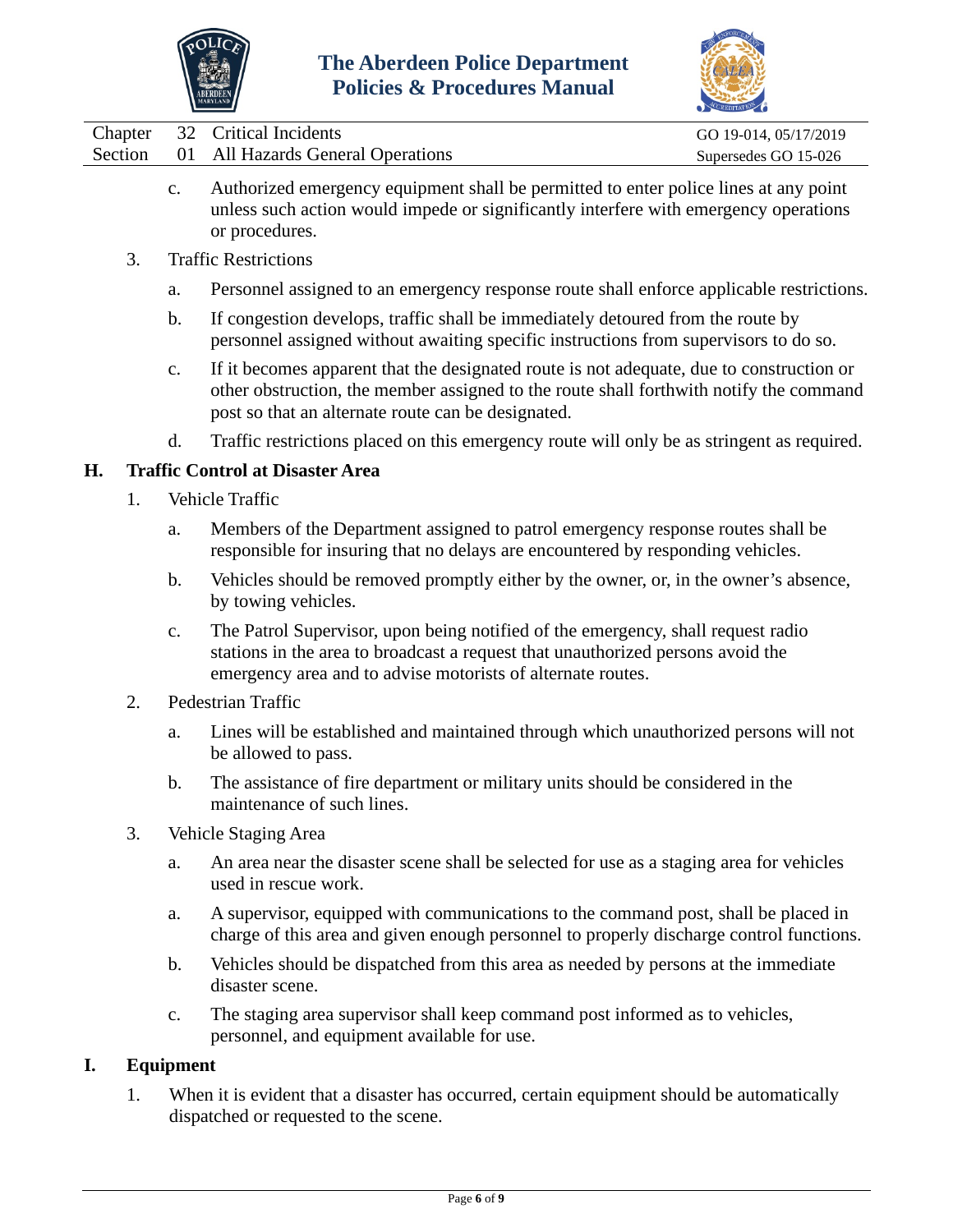



|  | Chapter 32 Critical Incidents             | GO 19-014, 05/17/2019 |
|--|-------------------------------------------|-----------------------|
|  | Section 01 All Hazards General Operations | Supersedes GO 15-026  |

- c. Authorized emergency equipment shall be permitted to enter police lines at any point unless such action would impede or significantly interfere with emergency operations or procedures.
- 3. Traffic Restrictions
	- a. Personnel assigned to an emergency response route shall enforce applicable restrictions.
	- b. If congestion develops, traffic shall be immediately detoured from the route by personnel assigned without awaiting specific instructions from supervisors to do so.
	- c. If it becomes apparent that the designated route is not adequate, due to construction or other obstruction, the member assigned to the route shall forthwith notify the command post so that an alternate route can be designated.
	- d. Traffic restrictions placed on this emergency route will only be as stringent as required.

## **H. Traffic Control at Disaster Area**

- 1. Vehicle Traffic
	- a. Members of the Department assigned to patrol emergency response routes shall be responsible for insuring that no delays are encountered by responding vehicles.
	- b. Vehicles should be removed promptly either by the owner, or, in the owner's absence, by towing vehicles.
	- c. The Patrol Supervisor, upon being notified of the emergency, shall request radio stations in the area to broadcast a request that unauthorized persons avoid the emergency area and to advise motorists of alternate routes.
- 2. Pedestrian Traffic
	- a. Lines will be established and maintained through which unauthorized persons will not be allowed to pass.
	- b. The assistance of fire department or military units should be considered in the maintenance of such lines.
- 3. Vehicle Staging Area
	- a. An area near the disaster scene shall be selected for use as a staging area for vehicles used in rescue work.
	- a. A supervisor, equipped with communications to the command post, shall be placed in charge of this area and given enough personnel to properly discharge control functions.
	- b. Vehicles should be dispatched from this area as needed by persons at the immediate disaster scene.
	- c. The staging area supervisor shall keep command post informed as to vehicles, personnel, and equipment available for use.

## **I. Equipment**

1. When it is evident that a disaster has occurred, certain equipment should be automatically dispatched or requested to the scene.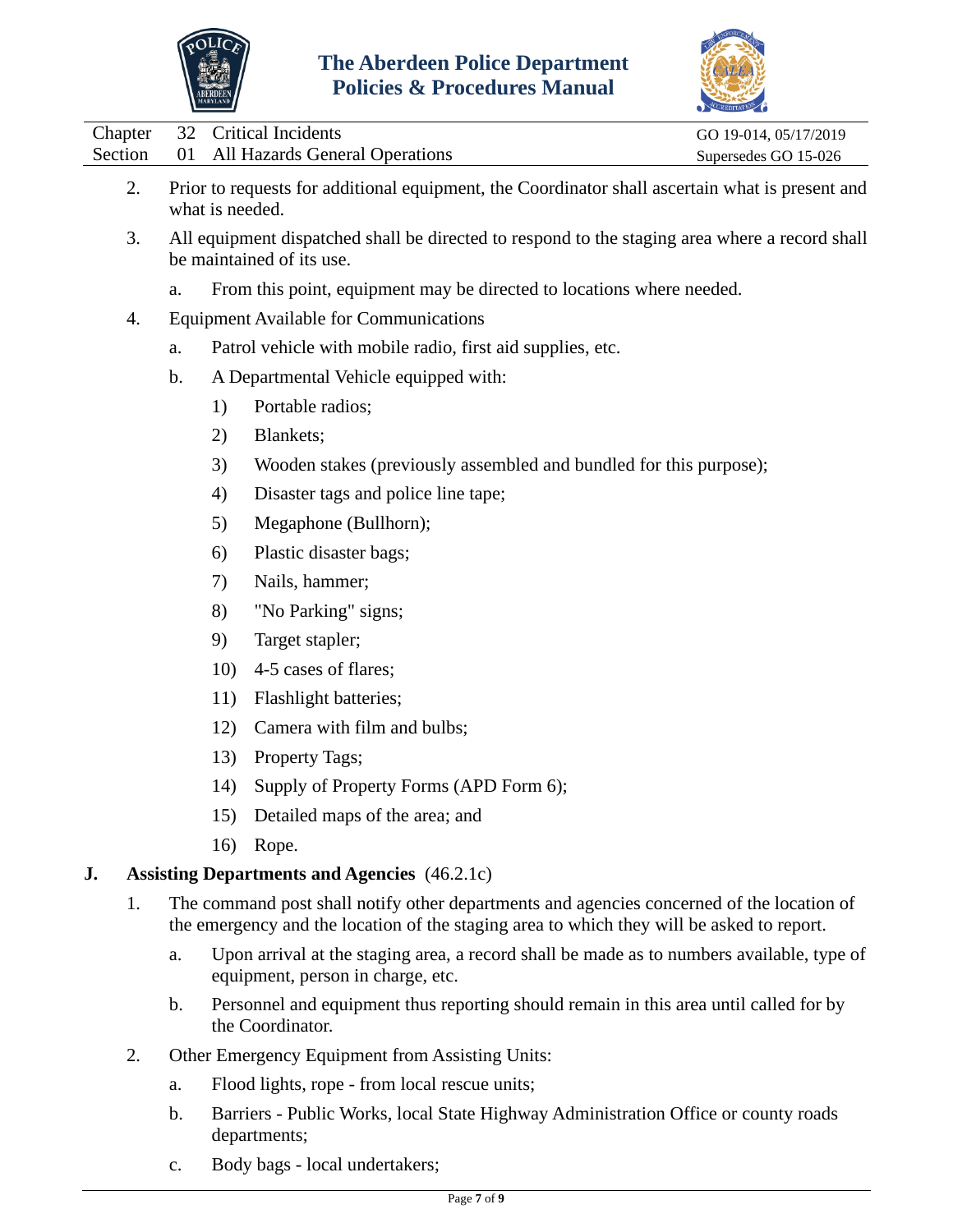



|         | Chapter 32 Critical Incidents     | GO 19-014, 05/17/2019 |
|---------|-----------------------------------|-----------------------|
| Section | 01 All Hazards General Operations | Supersedes GO 15-026  |
|         |                                   |                       |

- 2. Prior to requests for additional equipment, the Coordinator shall ascertain what is present and what is needed.
- 3. All equipment dispatched shall be directed to respond to the staging area where a record shall be maintained of its use.
	- a. From this point, equipment may be directed to locations where needed.
- 4. Equipment Available for Communications
	- a. Patrol vehicle with mobile radio, first aid supplies, etc.
	- b. A Departmental Vehicle equipped with:
		- 1) Portable radios;
		- 2) Blankets;
		- 3) Wooden stakes (previously assembled and bundled for this purpose);
		- 4) Disaster tags and police line tape;
		- 5) Megaphone (Bullhorn);
		- 6) Plastic disaster bags;
		- 7) Nails, hammer;
		- 8) "No Parking" signs;
		- 9) Target stapler;
		- 10) 4-5 cases of flares;
		- 11) Flashlight batteries;
		- 12) Camera with film and bulbs;
		- 13) Property Tags;
		- 14) Supply of Property Forms (APD Form 6);
		- 15) Detailed maps of the area; and
		- 16) Rope.

# **J. Assisting Departments and Agencies** (46.2.1c)

- 1. The command post shall notify other departments and agencies concerned of the location of the emergency and the location of the staging area to which they will be asked to report.
	- a. Upon arrival at the staging area, a record shall be made as to numbers available, type of equipment, person in charge, etc.
	- b. Personnel and equipment thus reporting should remain in this area until called for by the Coordinator.
- 2. Other Emergency Equipment from Assisting Units:
	- a. Flood lights, rope from local rescue units;
	- b. Barriers Public Works, local State Highway Administration Office or county roads departments;
	- c. Body bags local undertakers;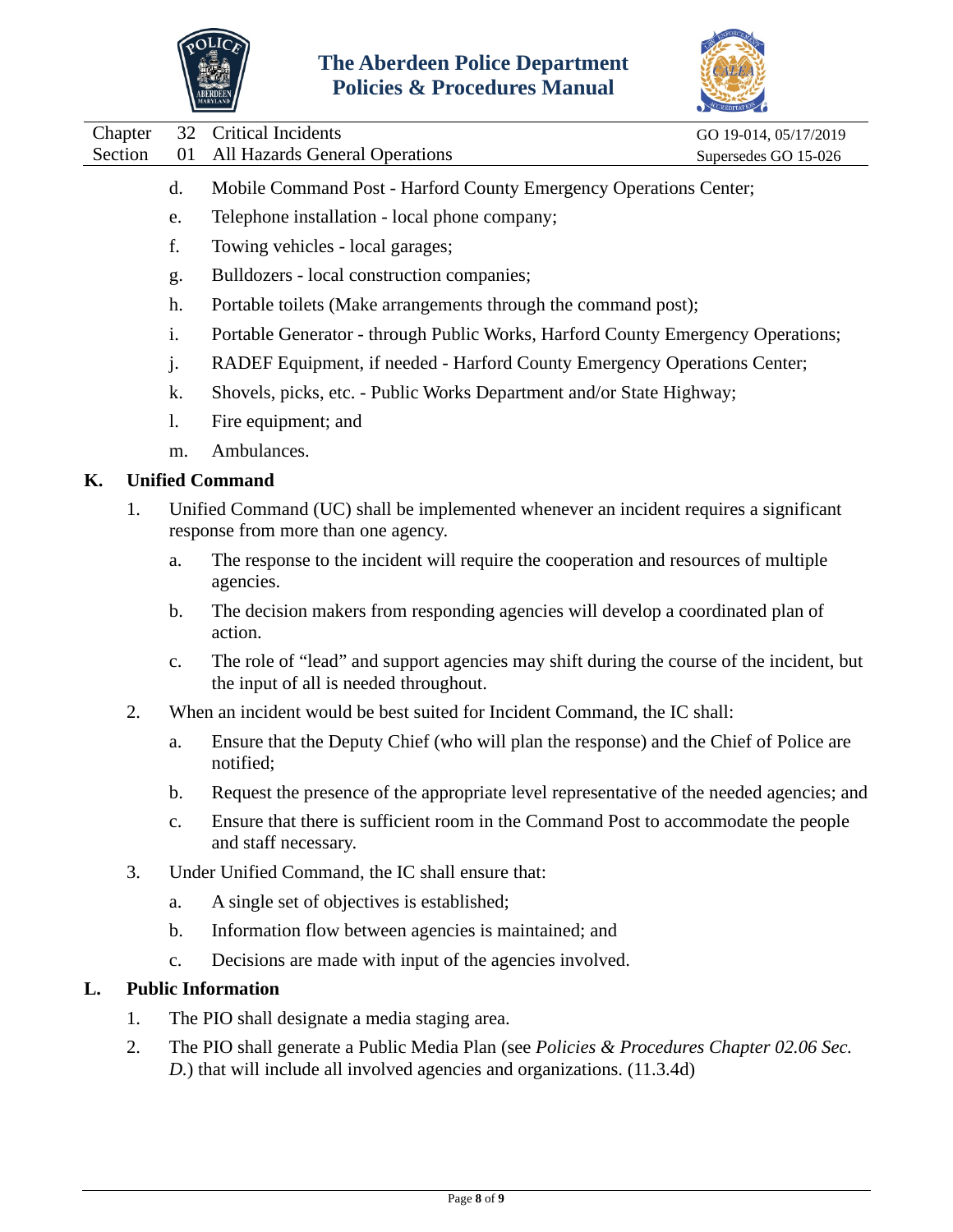



Chapter 32 Critical Incidents GO 19-014, 05/17/2019

- d. Mobile Command Post Harford County Emergency Operations Center;
- e. Telephone installation local phone company;
- f. Towing vehicles local garages;
- g. Bulldozers local construction companies;
- h. Portable toilets (Make arrangements through the command post);
- i. Portable Generator through Public Works, Harford County Emergency Operations;
- j. RADEF Equipment, if needed Harford County Emergency Operations Center;
- k. Shovels, picks, etc. Public Works Department and/or State Highway;
- l. Fire equipment; and
- m. Ambulances.

## **K. Unified Command**

- 1. Unified Command (UC) shall be implemented whenever an incident requires a significant response from more than one agency.
	- a. The response to the incident will require the cooperation and resources of multiple agencies.
	- b. The decision makers from responding agencies will develop a coordinated plan of action.
	- c. The role of "lead" and support agencies may shift during the course of the incident, but the input of all is needed throughout.
- 2. When an incident would be best suited for Incident Command, the IC shall:
	- a. Ensure that the Deputy Chief (who will plan the response) and the Chief of Police are notified;
	- b. Request the presence of the appropriate level representative of the needed agencies; and
	- c. Ensure that there is sufficient room in the Command Post to accommodate the people and staff necessary.
- 3. Under Unified Command, the IC shall ensure that:
	- a. A single set of objectives is established;
	- b. Information flow between agencies is maintained; and
	- c. Decisions are made with input of the agencies involved.

## **L. Public Information**

- 1. The PIO shall designate a media staging area.
- 2. The PIO shall generate a Public Media Plan (see *Policies & Procedures Chapter 02.06 Sec. D.*) that will include all involved agencies and organizations. (11.3.4d)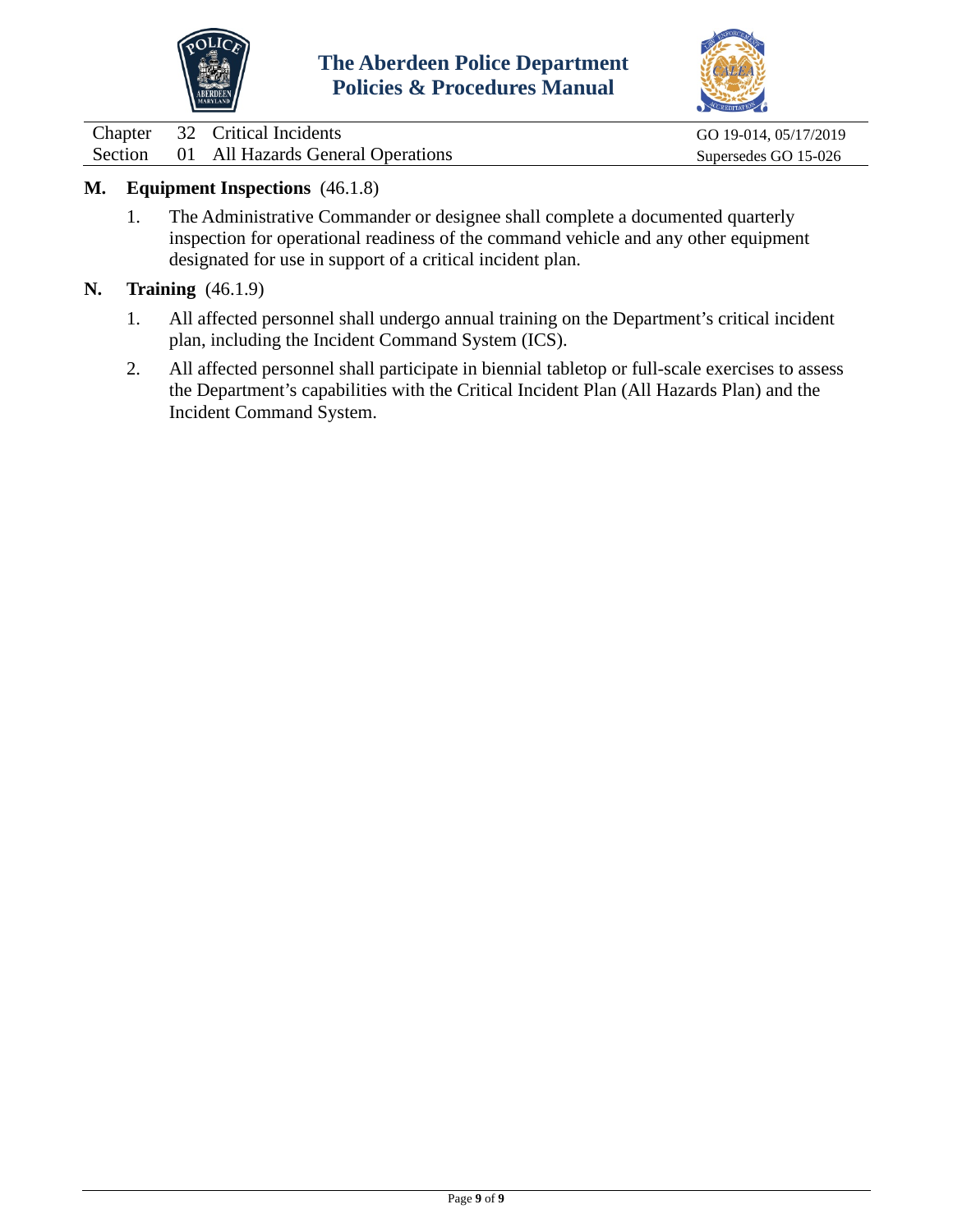



Chapter 32 Critical Incidents Go 19-014, 05/17/2019<br>
Section 01 All Hazards General Operations Supersedes Go 15-026 01 All Hazards General Operations Supersedes GO 15-026

## **M. Equipment Inspections** (46.1.8)

- 1. The Administrative Commander or designee shall complete a documented quarterly inspection for operational readiness of the command vehicle and any other equipment designated for use in support of a critical incident plan.
- **N. Training** (46.1.9)
	- 1. All affected personnel shall undergo annual training on the Department's critical incident plan, including the Incident Command System (ICS).
	- 2. All affected personnel shall participate in biennial tabletop or full-scale exercises to assess the Department's capabilities with the Critical Incident Plan (All Hazards Plan) and the Incident Command System.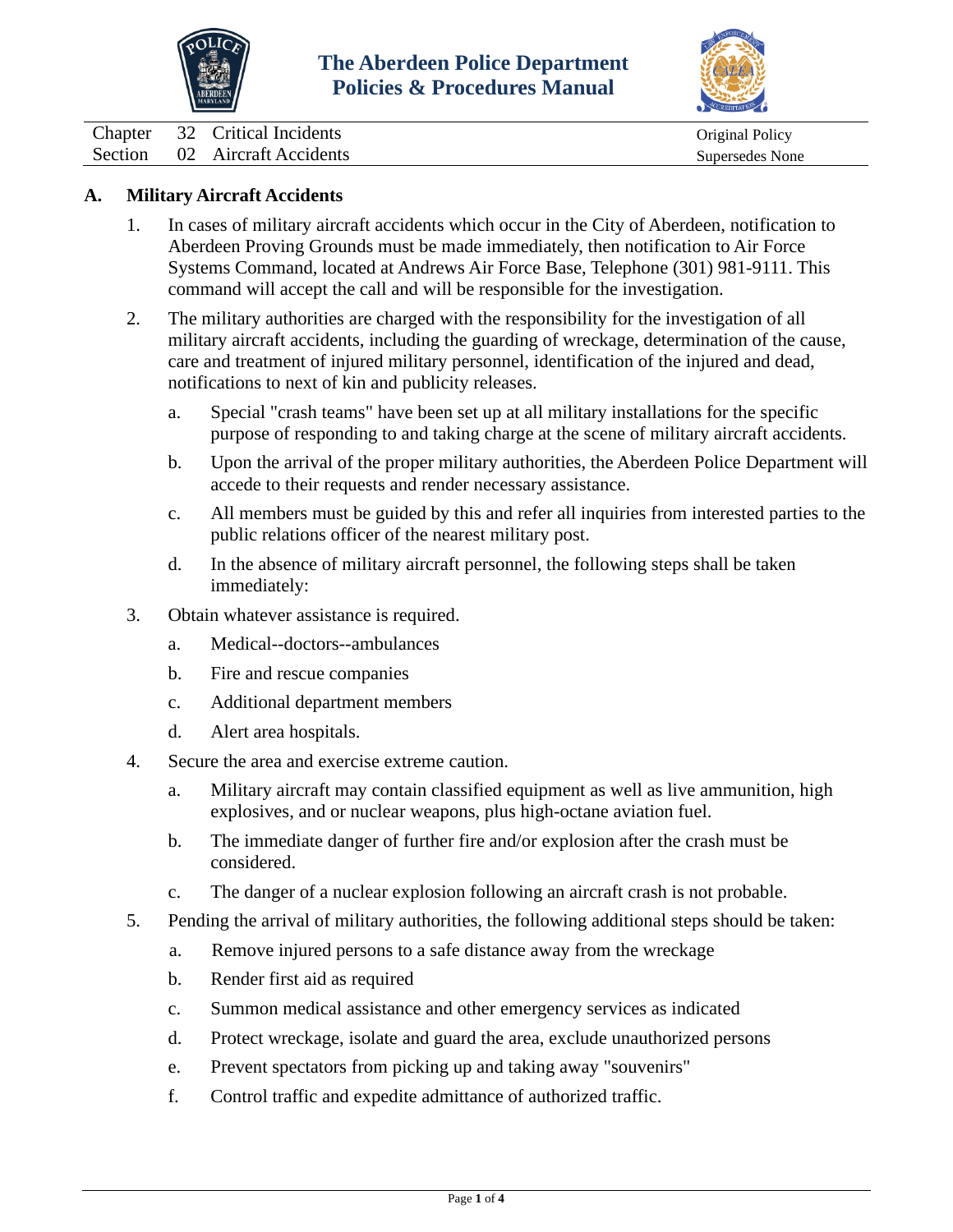



<span id="page-10-0"></span>Chapter 32 Critical Incidents Chapter 32 Critical Incidents Original Policy Section 02 Aircraft Accidents Supersedes None

## **A. Military Aircraft Accidents**

- 1. In cases of military aircraft accidents which occur in the City of Aberdeen, notification to Aberdeen Proving Grounds must be made immediately, then notification to Air Force Systems Command, located at Andrews Air Force Base, Telephone (301) 981-9111. This command will accept the call and will be responsible for the investigation.
- 2. The military authorities are charged with the responsibility for the investigation of all military aircraft accidents, including the guarding of wreckage, determination of the cause, care and treatment of injured military personnel, identification of the injured and dead, notifications to next of kin and publicity releases.
	- a. Special "crash teams" have been set up at all military installations for the specific purpose of responding to and taking charge at the scene of military aircraft accidents.
	- b. Upon the arrival of the proper military authorities, the Aberdeen Police Department will accede to their requests and render necessary assistance.
	- c. All members must be guided by this and refer all inquiries from interested parties to the public relations officer of the nearest military post.
	- d. In the absence of military aircraft personnel, the following steps shall be taken immediately:
- 3. Obtain whatever assistance is required.
	- a. Medical--doctors--ambulances
	- b. Fire and rescue companies
	- c. Additional department members
	- d. Alert area hospitals.
- 4. Secure the area and exercise extreme caution.
	- a. Military aircraft may contain classified equipment as well as live ammunition, high explosives, and or nuclear weapons, plus high-octane aviation fuel.
	- b. The immediate danger of further fire and/or explosion after the crash must be considered.
	- c. The danger of a nuclear explosion following an aircraft crash is not probable.
- 5. Pending the arrival of military authorities, the following additional steps should be taken:
	- a. Remove injured persons to a safe distance away from the wreckage
	- b. Render first aid as required
	- c. Summon medical assistance and other emergency services as indicated
	- d. Protect wreckage, isolate and guard the area, exclude unauthorized persons
	- e. Prevent spectators from picking up and taking away "souvenirs"
	- f. Control traffic and expedite admittance of authorized traffic.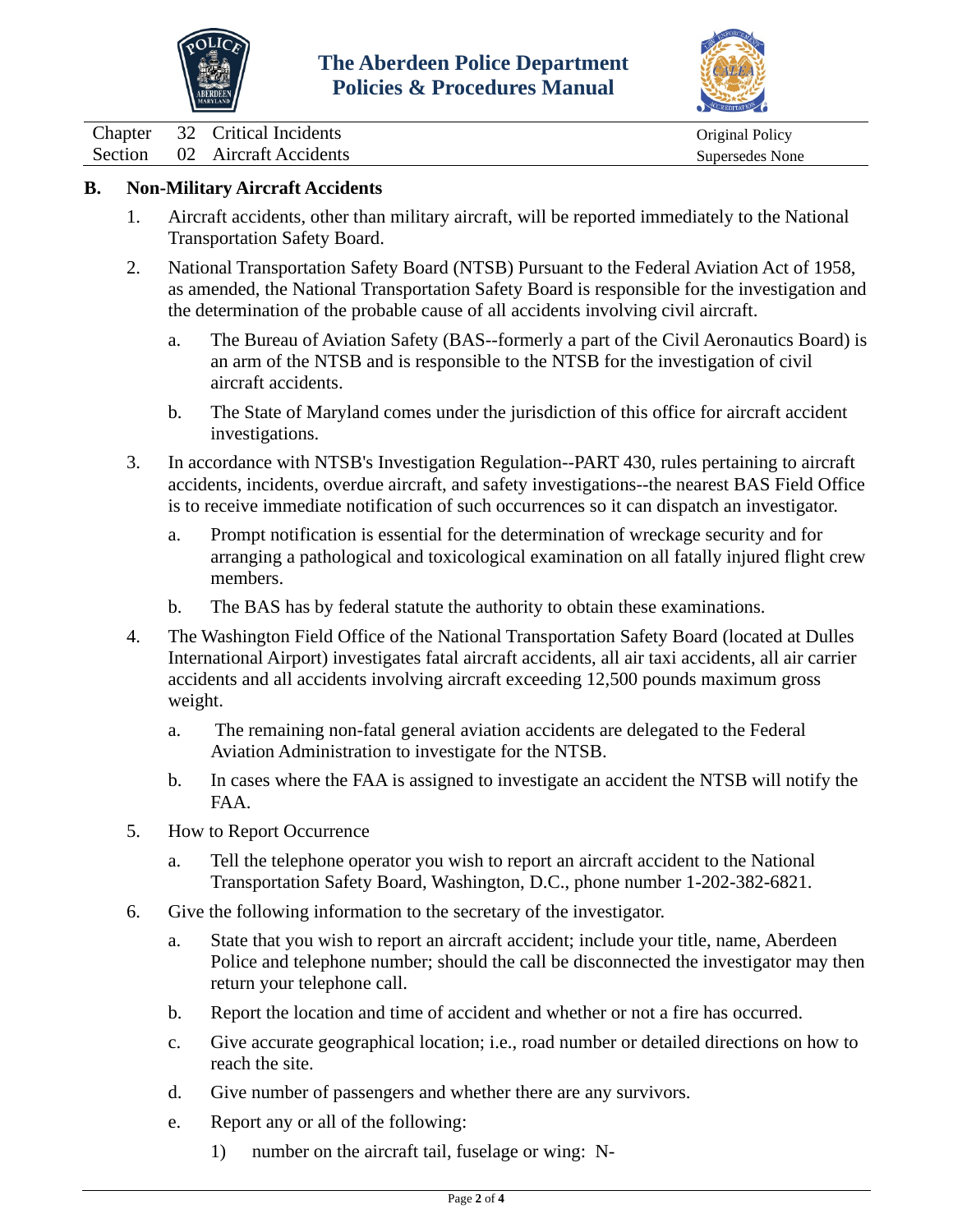



Chapter 32 Critical Incidents Chapter 32 Critical Incidents Original Policy

Section 02 Aircraft Accidents Supersedes None

# **B. Non-Military Aircraft Accidents**

- 1. Aircraft accidents, other than military aircraft, will be reported immediately to the National Transportation Safety Board.
- 2. National Transportation Safety Board (NTSB) Pursuant to the Federal Aviation Act of 1958, as amended, the National Transportation Safety Board is responsible for the investigation and the determination of the probable cause of all accidents involving civil aircraft.
	- a. The Bureau of Aviation Safety (BAS--formerly a part of the Civil Aeronautics Board) is an arm of the NTSB and is responsible to the NTSB for the investigation of civil aircraft accidents.
	- b. The State of Maryland comes under the jurisdiction of this office for aircraft accident investigations.
- 3. In accordance with NTSB's Investigation Regulation--PART 430, rules pertaining to aircraft accidents, incidents, overdue aircraft, and safety investigations--the nearest BAS Field Office is to receive immediate notification of such occurrences so it can dispatch an investigator.
	- a. Prompt notification is essential for the determination of wreckage security and for arranging a pathological and toxicological examination on all fatally injured flight crew members.
	- b. The BAS has by federal statute the authority to obtain these examinations.
- 4. The Washington Field Office of the National Transportation Safety Board (located at Dulles International Airport) investigates fatal aircraft accidents, all air taxi accidents, all air carrier accidents and all accidents involving aircraft exceeding 12,500 pounds maximum gross weight.
	- a. The remaining non-fatal general aviation accidents are delegated to the Federal Aviation Administration to investigate for the NTSB.
	- b. In cases where the FAA is assigned to investigate an accident the NTSB will notify the FAA.
- 5. How to Report Occurrence
	- a. Tell the telephone operator you wish to report an aircraft accident to the National Transportation Safety Board, Washington, D.C., phone number 1-202-382-6821.
- 6. Give the following information to the secretary of the investigator.
	- a. State that you wish to report an aircraft accident; include your title, name, Aberdeen Police and telephone number; should the call be disconnected the investigator may then return your telephone call.
	- b. Report the location and time of accident and whether or not a fire has occurred.
	- c. Give accurate geographical location; i.e., road number or detailed directions on how to reach the site.
	- d. Give number of passengers and whether there are any survivors.
	- e. Report any or all of the following:
		- 1) number on the aircraft tail, fuselage or wing: N-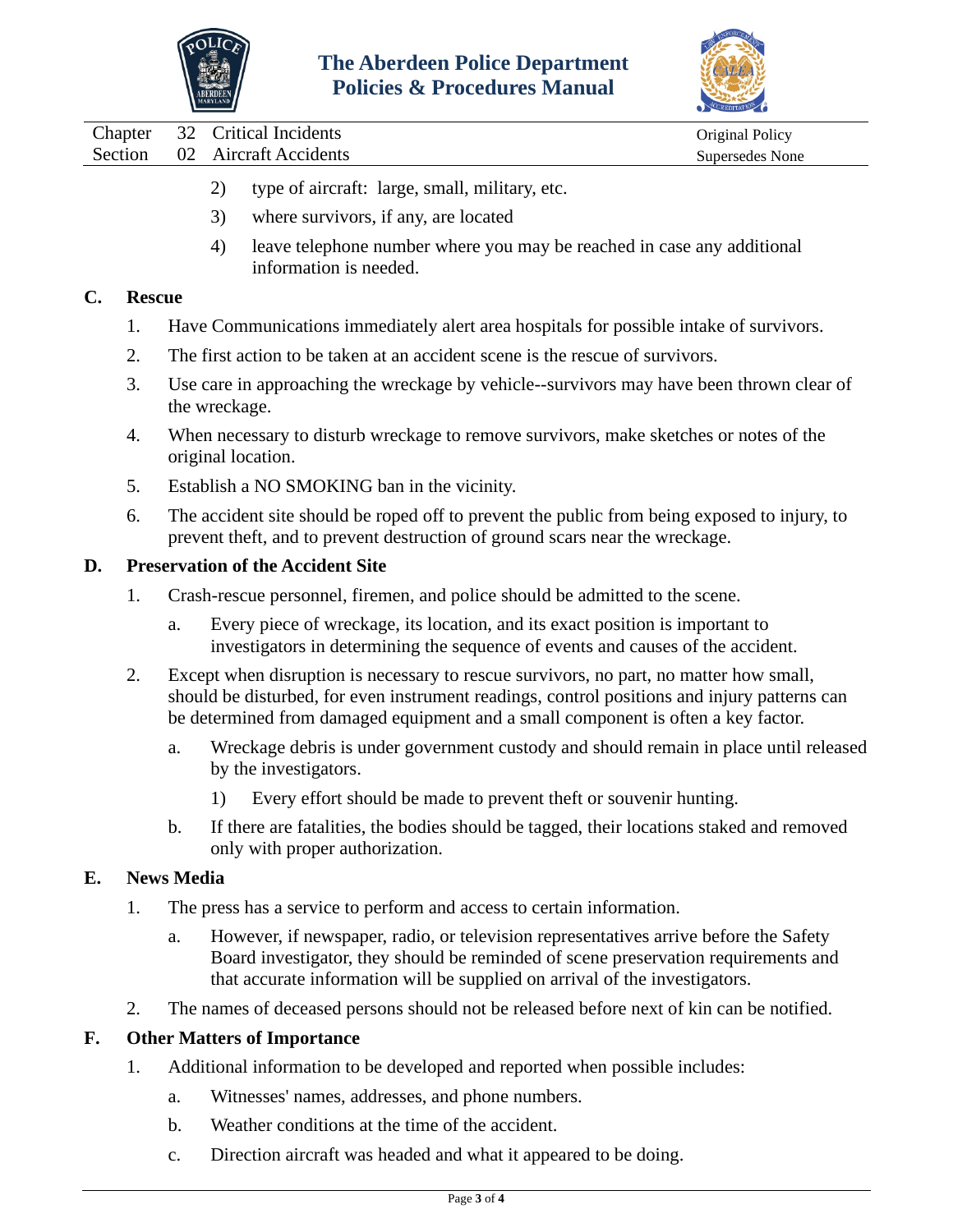



Chapter 32 Critical Incidents Chapter of Chapter of Chapter 32 Critical Incidents Original Policy Section 02 Aircraft Accidents Supersedes None

- 2) type of aircraft: large, small, military, etc.
- 3) where survivors, if any, are located
- 4) leave telephone number where you may be reached in case any additional information is needed.

## **C. Rescue**

- 1. Have Communications immediately alert area hospitals for possible intake of survivors.
- 2. The first action to be taken at an accident scene is the rescue of survivors.
- 3. Use care in approaching the wreckage by vehicle--survivors may have been thrown clear of the wreckage.
- 4. When necessary to disturb wreckage to remove survivors, make sketches or notes of the original location.
- 5. Establish a NO SMOKING ban in the vicinity.
- 6. The accident site should be roped off to prevent the public from being exposed to injury, to prevent theft, and to prevent destruction of ground scars near the wreckage.

## **D. Preservation of the Accident Site**

- 1. Crash-rescue personnel, firemen, and police should be admitted to the scene.
	- a. Every piece of wreckage, its location, and its exact position is important to investigators in determining the sequence of events and causes of the accident.
- 2. Except when disruption is necessary to rescue survivors, no part, no matter how small, should be disturbed, for even instrument readings, control positions and injury patterns can be determined from damaged equipment and a small component is often a key factor.
	- a. Wreckage debris is under government custody and should remain in place until released by the investigators.
		- 1) Every effort should be made to prevent theft or souvenir hunting.
	- b. If there are fatalities, the bodies should be tagged, their locations staked and removed only with proper authorization.

## **E. News Media**

- 1. The press has a service to perform and access to certain information.
	- a. However, if newspaper, radio, or television representatives arrive before the Safety Board investigator, they should be reminded of scene preservation requirements and that accurate information will be supplied on arrival of the investigators.
- 2. The names of deceased persons should not be released before next of kin can be notified.

## **F. Other Matters of Importance**

- 1. Additional information to be developed and reported when possible includes:
	- a. Witnesses' names, addresses, and phone numbers.
	- b. Weather conditions at the time of the accident.
	- c. Direction aircraft was headed and what it appeared to be doing.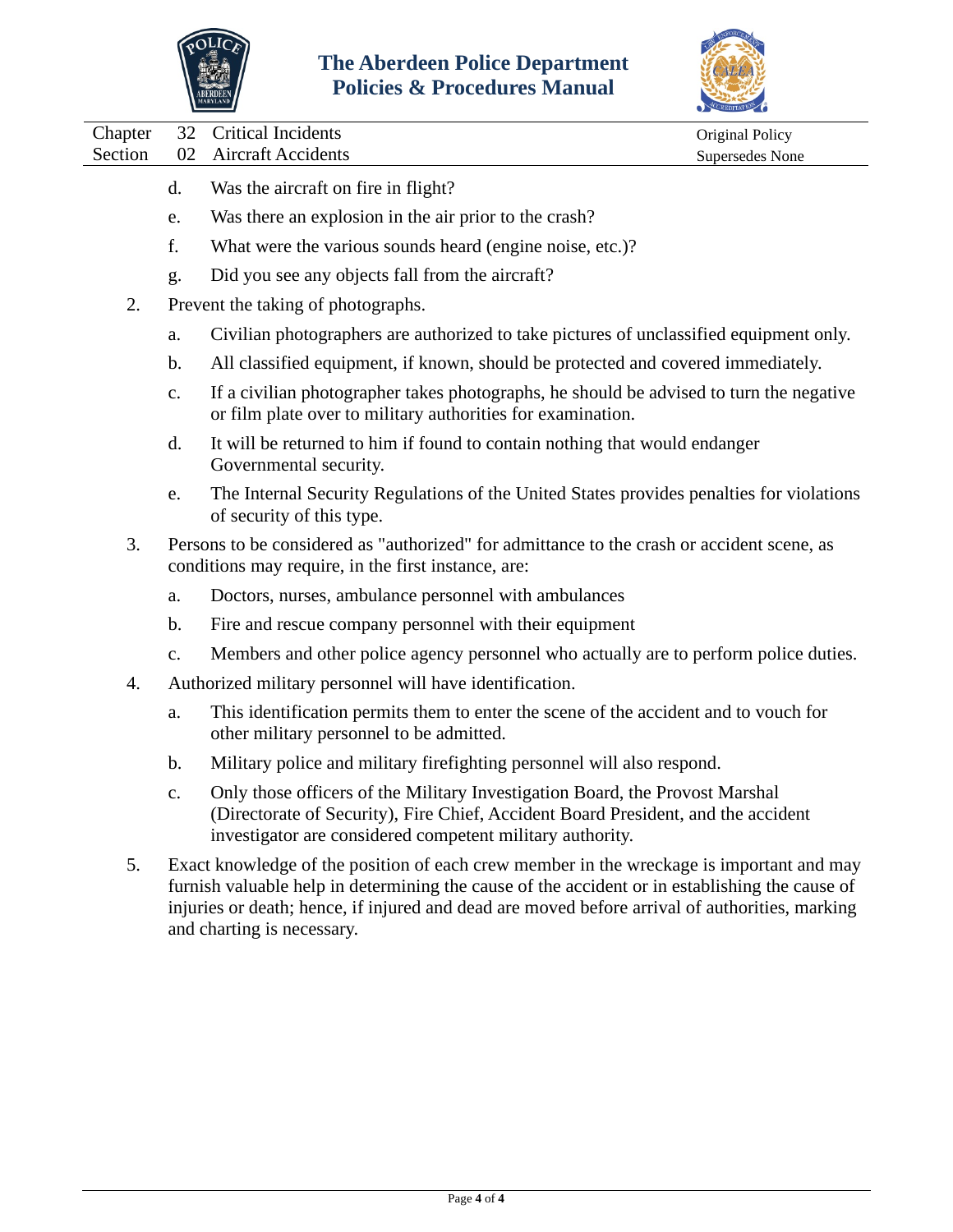



Chapter 32 Critical Incidents Original Policy

Section 02 Aircraft Accidents Supersedes None

- d. Was the aircraft on fire in flight?
- e. Was there an explosion in the air prior to the crash?
- f. What were the various sounds heard (engine noise, etc.)?
- g. Did you see any objects fall from the aircraft?
- 2. Prevent the taking of photographs.
	- a. Civilian photographers are authorized to take pictures of unclassified equipment only.
	- b. All classified equipment, if known, should be protected and covered immediately.
	- c. If a civilian photographer takes photographs, he should be advised to turn the negative or film plate over to military authorities for examination.
	- d. It will be returned to him if found to contain nothing that would endanger Governmental security.
	- e. The Internal Security Regulations of the United States provides penalties for violations of security of this type.
- 3. Persons to be considered as "authorized" for admittance to the crash or accident scene, as conditions may require, in the first instance, are:
	- a. Doctors, nurses, ambulance personnel with ambulances
	- b. Fire and rescue company personnel with their equipment
	- c. Members and other police agency personnel who actually are to perform police duties.
- 4. Authorized military personnel will have identification.
	- a. This identification permits them to enter the scene of the accident and to vouch for other military personnel to be admitted.
	- b. Military police and military firefighting personnel will also respond.
	- c. Only those officers of the Military Investigation Board, the Provost Marshal (Directorate of Security), Fire Chief, Accident Board President, and the accident investigator are considered competent military authority.
- 5. Exact knowledge of the position of each crew member in the wreckage is important and may furnish valuable help in determining the cause of the accident or in establishing the cause of injuries or death; hence, if injured and dead are moved before arrival of authorities, marking and charting is necessary.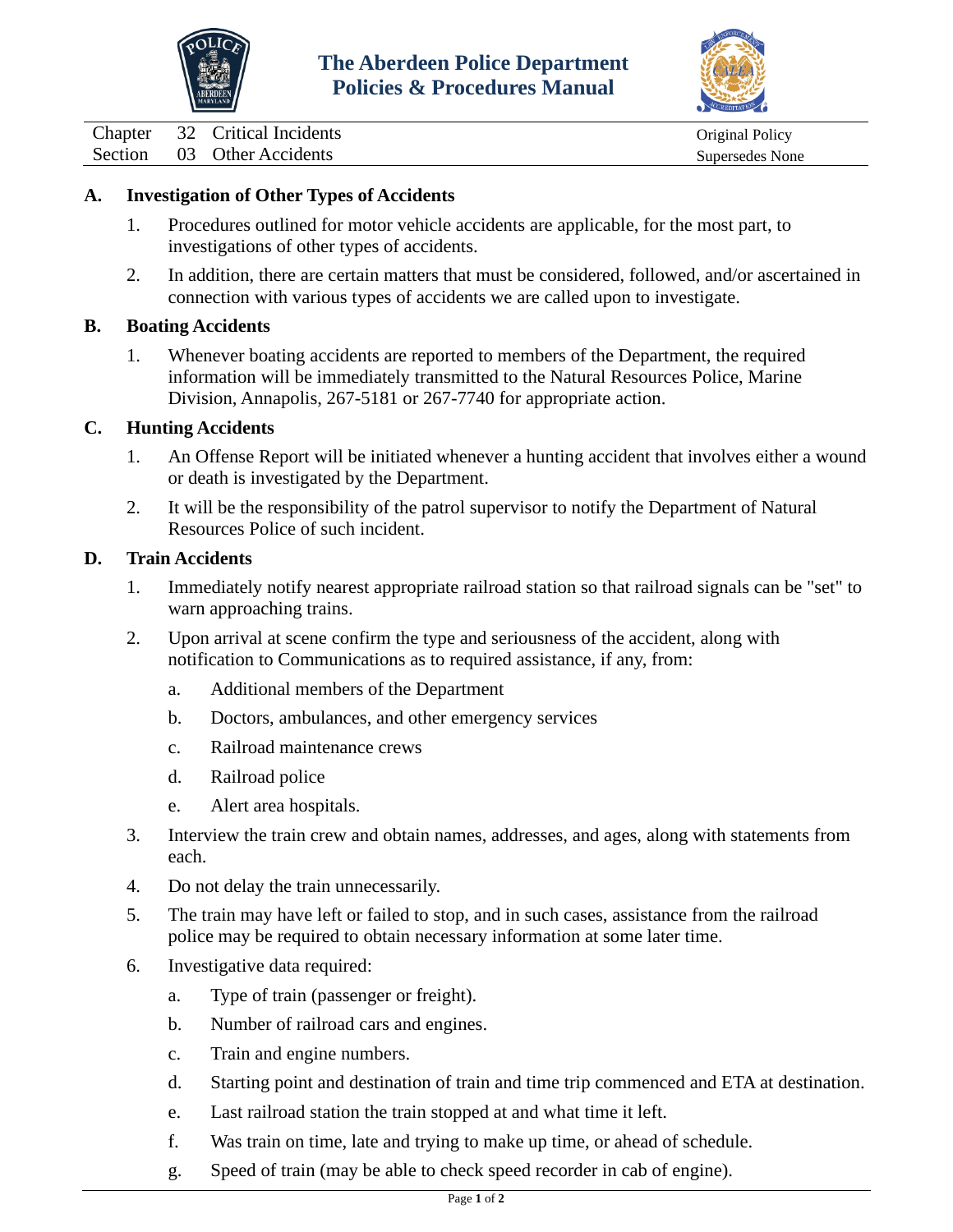



<span id="page-14-0"></span>Chapter 32 Critical Incidents Chapter 32 Critical Incidents Original Policy

Section 03 Other Accidents Supersedes None

## **A. Investigation of Other Types of Accidents**

- 1. Procedures outlined for motor vehicle accidents are applicable, for the most part, to investigations of other types of accidents.
- 2. In addition, there are certain matters that must be considered, followed, and/or ascertained in connection with various types of accidents we are called upon to investigate.

#### **B. Boating Accidents**

1. Whenever boating accidents are reported to members of the Department, the required information will be immediately transmitted to the Natural Resources Police, Marine Division, Annapolis, 267-5181 or 267-7740 for appropriate action.

#### **C. Hunting Accidents**

- 1. An Offense Report will be initiated whenever a hunting accident that involves either a wound or death is investigated by the Department.
- 2. It will be the responsibility of the patrol supervisor to notify the Department of Natural Resources Police of such incident.

#### **D. Train Accidents**

- 1. Immediately notify nearest appropriate railroad station so that railroad signals can be "set" to warn approaching trains.
- 2. Upon arrival at scene confirm the type and seriousness of the accident, along with notification to Communications as to required assistance, if any, from:
	- a. Additional members of the Department
	- b. Doctors, ambulances, and other emergency services
	- c. Railroad maintenance crews
	- d. Railroad police
	- e. Alert area hospitals.
- 3. Interview the train crew and obtain names, addresses, and ages, along with statements from each.
- 4. Do not delay the train unnecessarily.
- 5. The train may have left or failed to stop, and in such cases, assistance from the railroad police may be required to obtain necessary information at some later time.
- 6. Investigative data required:
	- a. Type of train (passenger or freight).
	- b. Number of railroad cars and engines.
	- c. Train and engine numbers.
	- d. Starting point and destination of train and time trip commenced and ETA at destination.
	- e. Last railroad station the train stopped at and what time it left.
	- f. Was train on time, late and trying to make up time, or ahead of schedule.
	- g. Speed of train (may be able to check speed recorder in cab of engine).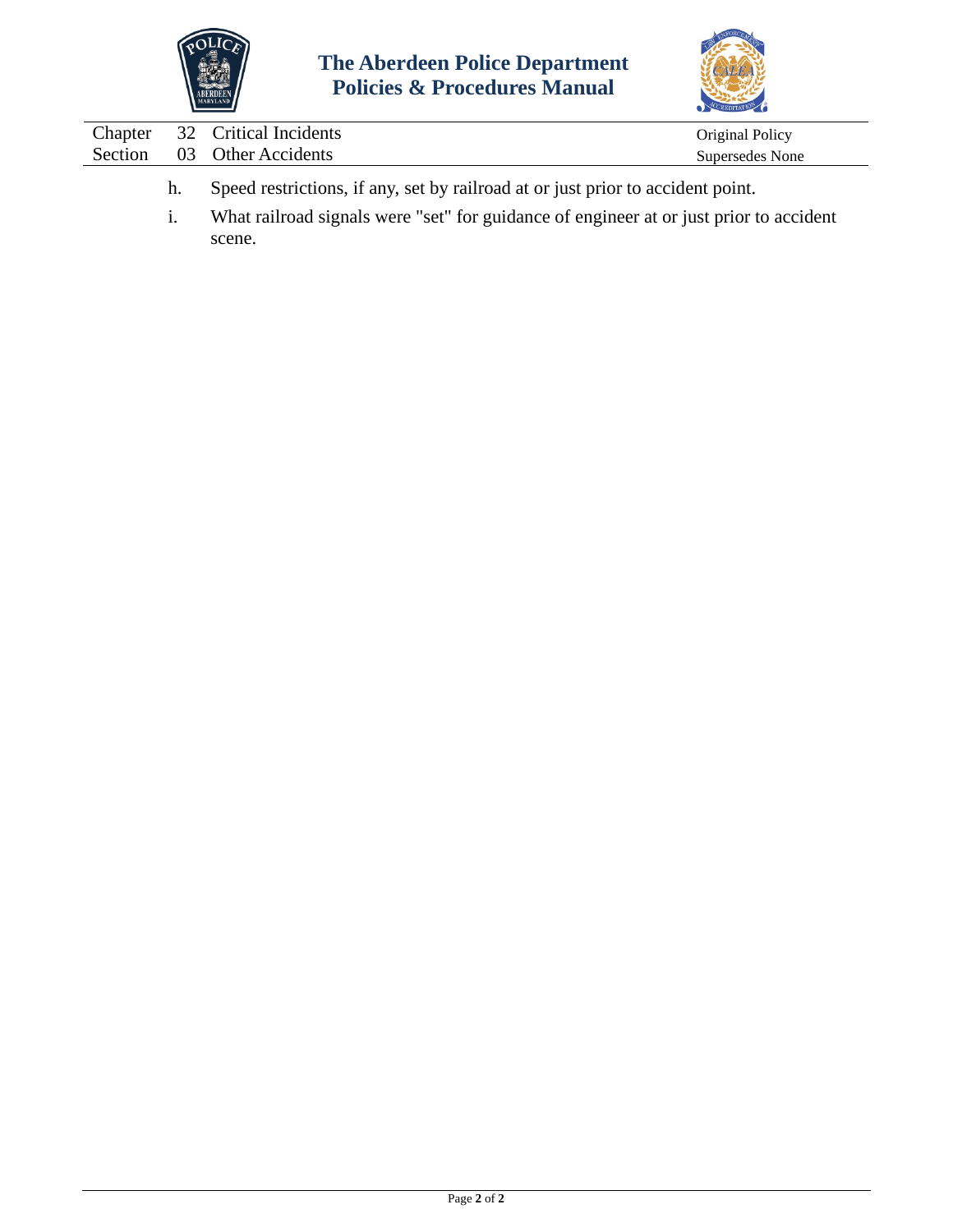



|  | Chapter 32 Critical Incidents | Original Policy |
|--|-------------------------------|-----------------|
|  | Section 03 Other Accidents    | Supersedes None |
|  |                               |                 |

- h. Speed restrictions, if any, set by railroad at or just prior to accident point.
- i. What railroad signals were "set" for guidance of engineer at or just prior to accident scene.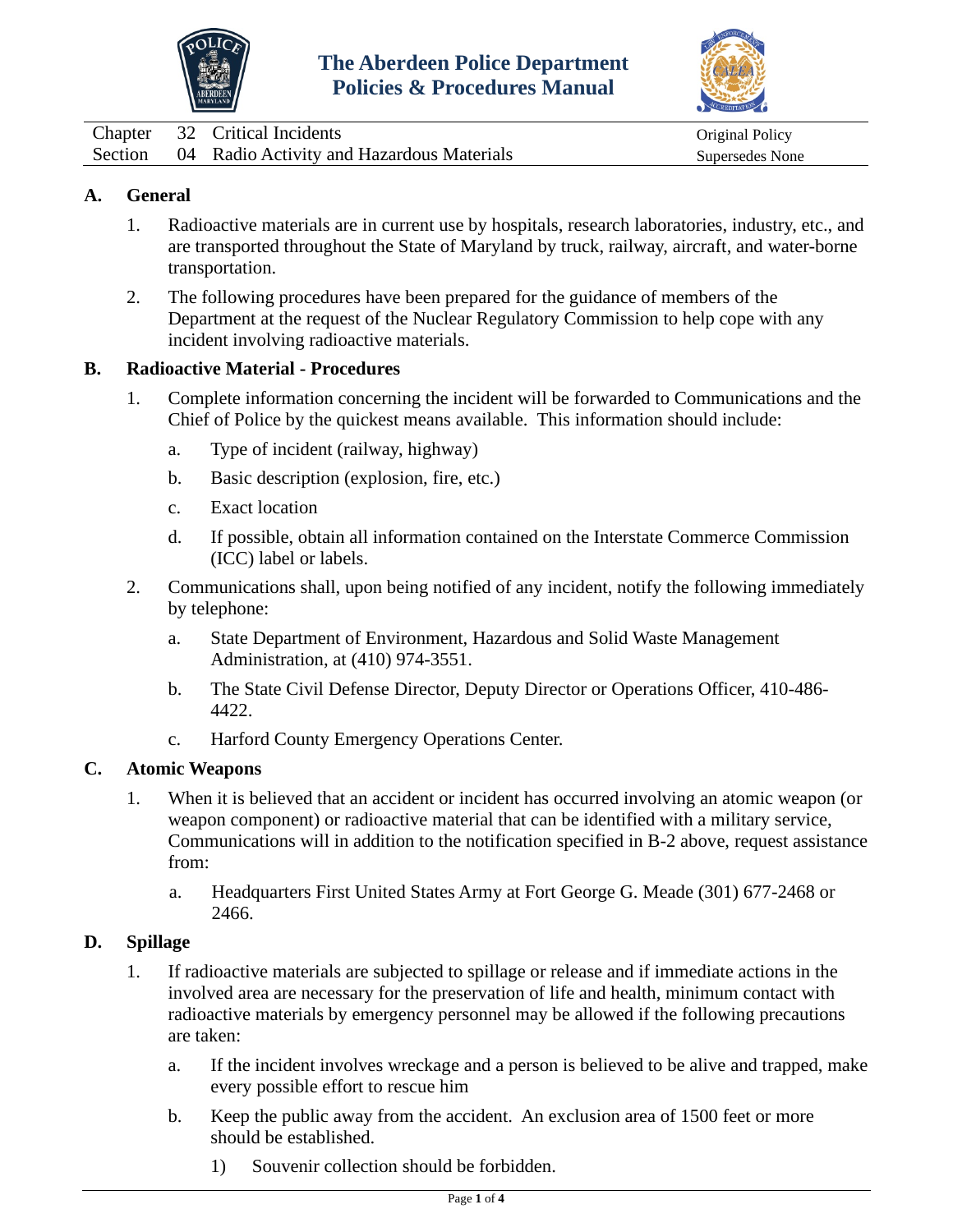



<span id="page-16-0"></span>

|  | Chapter 32 Critical Incidents                     | Original Policy |
|--|---------------------------------------------------|-----------------|
|  | Section 04 Radio Activity and Hazardous Materials | Supersedes None |

# **A. General**

- 1. Radioactive materials are in current use by hospitals, research laboratories, industry, etc., and are transported throughout the State of Maryland by truck, railway, aircraft, and water-borne transportation.
- 2. The following procedures have been prepared for the guidance of members of the Department at the request of the Nuclear Regulatory Commission to help cope with any incident involving radioactive materials.

#### **B. Radioactive Material - Procedures**

- 1. Complete information concerning the incident will be forwarded to Communications and the Chief of Police by the quickest means available. This information should include:
	- a. Type of incident (railway, highway)
	- b. Basic description (explosion, fire, etc.)
	- c. Exact location
	- d. If possible, obtain all information contained on the Interstate Commerce Commission (ICC) label or labels.
- 2. Communications shall, upon being notified of any incident, notify the following immediately by telephone:
	- a. State Department of Environment, Hazardous and Solid Waste Management Administration, at (410) 974-3551.
	- b. The State Civil Defense Director, Deputy Director or Operations Officer, 410-486- 4422.
	- c. Harford County Emergency Operations Center.

#### **C. Atomic Weapons**

- 1. When it is believed that an accident or incident has occurred involving an atomic weapon (or weapon component) or radioactive material that can be identified with a military service, Communications will in addition to the notification specified in B-2 above, request assistance from:
	- a. Headquarters First United States Army at Fort George G. Meade (301) 677-2468 or 2466.

#### **D. Spillage**

- 1. If radioactive materials are subjected to spillage or release and if immediate actions in the involved area are necessary for the preservation of life and health, minimum contact with radioactive materials by emergency personnel may be allowed if the following precautions are taken:
	- a. If the incident involves wreckage and a person is believed to be alive and trapped, make every possible effort to rescue him
	- b. Keep the public away from the accident. An exclusion area of 1500 feet or more should be established.
		- 1) Souvenir collection should be forbidden.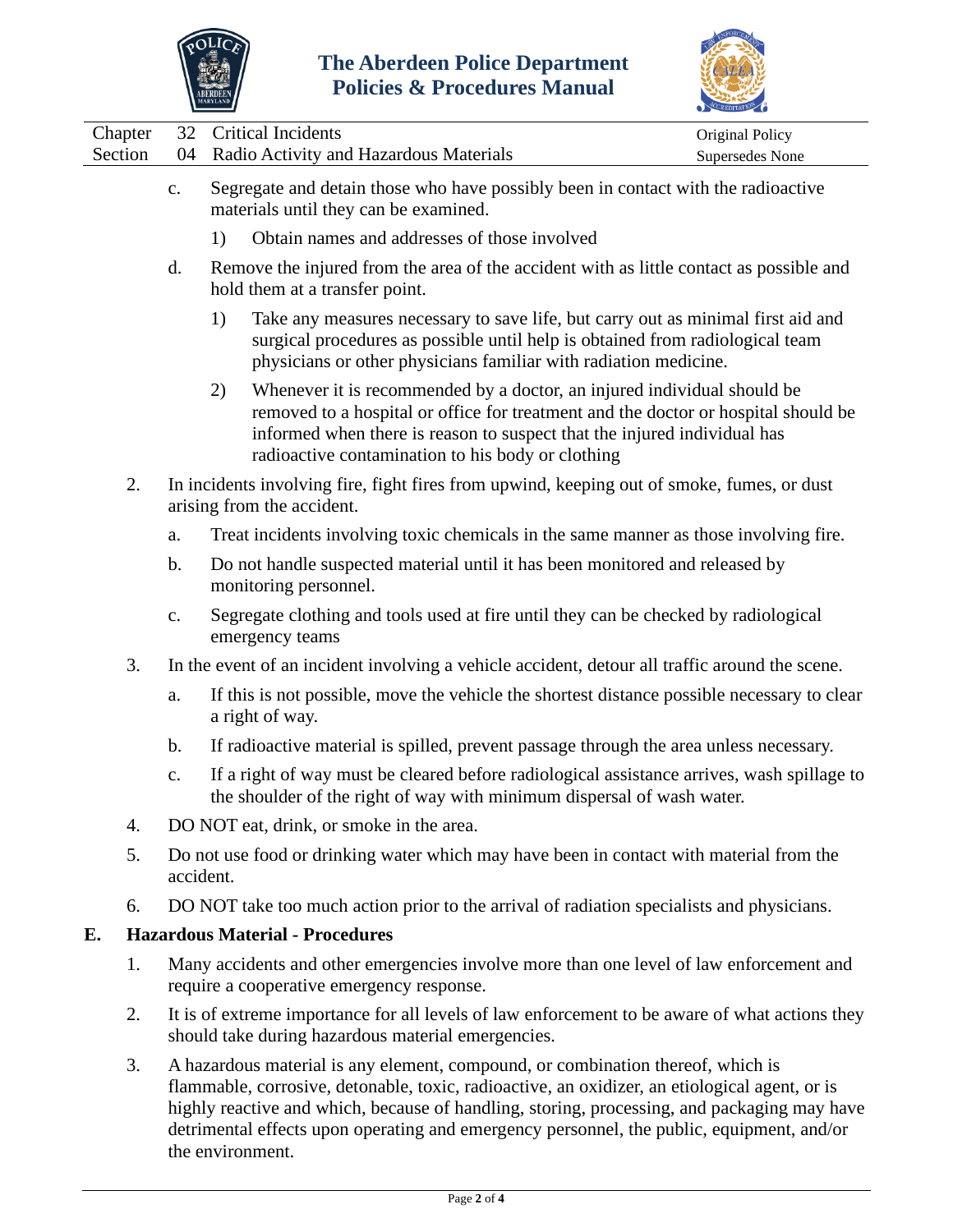

the environment.



|         |                | ABERDEEN<br>MARYLAND |                                                                                                                                                                                                                                                                                                                                                                              |                 |
|---------|----------------|----------------------|------------------------------------------------------------------------------------------------------------------------------------------------------------------------------------------------------------------------------------------------------------------------------------------------------------------------------------------------------------------------------|-----------------|
| Chapter | 32             |                      | <b>Critical Incidents</b>                                                                                                                                                                                                                                                                                                                                                    | Original Policy |
| Section | 04             |                      | Radio Activity and Hazardous Materials                                                                                                                                                                                                                                                                                                                                       | Supersedes None |
|         | $\mathbf{c}$ . |                      | Segregate and detain those who have possibly been in contact with the radioactive<br>materials until they can be examined.                                                                                                                                                                                                                                                   |                 |
|         |                | 1)                   | Obtain names and addresses of those involved                                                                                                                                                                                                                                                                                                                                 |                 |
|         | d.             |                      | Remove the injured from the area of the accident with as little contact as possible and<br>hold them at a transfer point.                                                                                                                                                                                                                                                    |                 |
|         |                | 1)                   | Take any measures necessary to save life, but carry out as minimal first aid and<br>surgical procedures as possible until help is obtained from radiological team<br>physicians or other physicians familiar with radiation medicine.                                                                                                                                        |                 |
|         |                | 2)                   | Whenever it is recommended by a doctor, an injured individual should be<br>removed to a hospital or office for treatment and the doctor or hospital should be<br>informed when there is reason to suspect that the injured individual has<br>radioactive contamination to his body or clothing                                                                               |                 |
| 2.      |                |                      | In incidents involving fire, fight fires from upwind, keeping out of smoke, fumes, or dust<br>arising from the accident.                                                                                                                                                                                                                                                     |                 |
|         | a.             |                      | Treat incidents involving toxic chemicals in the same manner as those involving fire.                                                                                                                                                                                                                                                                                        |                 |
|         | $\mathbf b$ .  |                      | Do not handle suspected material until it has been monitored and released by<br>monitoring personnel.                                                                                                                                                                                                                                                                        |                 |
|         | $\mathbf{c}$ . |                      | Segregate clothing and tools used at fire until they can be checked by radiological<br>emergency teams                                                                                                                                                                                                                                                                       |                 |
| 3.      |                |                      | In the event of an incident involving a vehicle accident, detour all traffic around the scene.                                                                                                                                                                                                                                                                               |                 |
|         | a.             |                      | If this is not possible, move the vehicle the shortest distance possible necessary to clear<br>a right of way.                                                                                                                                                                                                                                                               |                 |
|         | $\mathbf b$ .  |                      | If radioactive material is spilled, prevent passage through the area unless necessary.                                                                                                                                                                                                                                                                                       |                 |
|         | c.             |                      | If a right of way must be cleared before radiological assistance arrives, wash spillage to<br>the shoulder of the right of way with minimum dispersal of wash water.                                                                                                                                                                                                         |                 |
| 4.      |                |                      | DO NOT eat, drink, or smoke in the area.                                                                                                                                                                                                                                                                                                                                     |                 |
| 5.      |                | accident.            | Do not use food or drinking water which may have been in contact with material from the                                                                                                                                                                                                                                                                                      |                 |
| 6.      |                |                      | DO NOT take too much action prior to the arrival of radiation specialists and physicians.                                                                                                                                                                                                                                                                                    |                 |
| Е.      |                |                      | <b>Hazardous Material - Procedures</b>                                                                                                                                                                                                                                                                                                                                       |                 |
| 1.      |                |                      | Many accidents and other emergencies involve more than one level of law enforcement and<br>require a cooperative emergency response.                                                                                                                                                                                                                                         |                 |
| 2.      |                |                      | It is of extreme importance for all levels of law enforcement to be aware of what actions they<br>should take during hazardous material emergencies.                                                                                                                                                                                                                         |                 |
| 3.      |                |                      | A hazardous material is any element, compound, or combination thereof, which is<br>flammable, corrosive, detonable, toxic, radioactive, an oxidizer, an etiological agent, or is<br>highly reactive and which, because of handling, storing, processing, and packaging may have<br>detrimental effects upon operating and emergency personnel, the public, equipment, and/or |                 |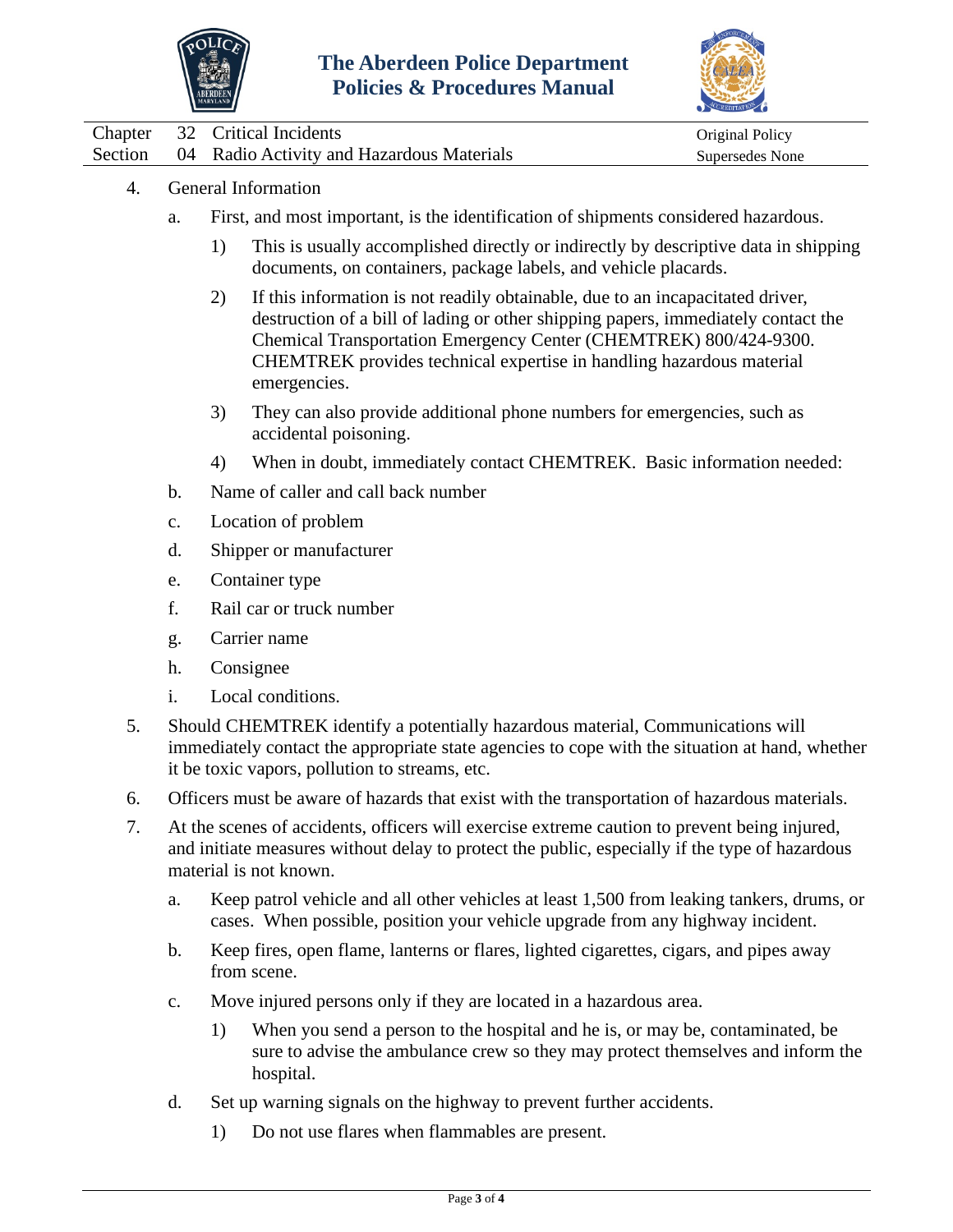



| Chapter 32 Critical Incidents                     | Original Policy |
|---------------------------------------------------|-----------------|
| Section 04 Radio Activity and Hazardous Materials | Supersedes None |

- 4. General Information
	- a. First, and most important, is the identification of shipments considered hazardous.
		- 1) This is usually accomplished directly or indirectly by descriptive data in shipping documents, on containers, package labels, and vehicle placards.
		- 2) If this information is not readily obtainable, due to an incapacitated driver, destruction of a bill of lading or other shipping papers, immediately contact the Chemical Transportation Emergency Center (CHEMTREK) 800/424-9300. CHEMTREK provides technical expertise in handling hazardous material emergencies.
		- 3) They can also provide additional phone numbers for emergencies, such as accidental poisoning.
		- 4) When in doubt, immediately contact CHEMTREK. Basic information needed:
	- b. Name of caller and call back number
	- c. Location of problem
	- d. Shipper or manufacturer
	- e. Container type
	- f. Rail car or truck number
	- g. Carrier name
	- h. Consignee
	- i. Local conditions.
- 5. Should CHEMTREK identify a potentially hazardous material, Communications will immediately contact the appropriate state agencies to cope with the situation at hand, whether it be toxic vapors, pollution to streams, etc.
- 6. Officers must be aware of hazards that exist with the transportation of hazardous materials.
- 7. At the scenes of accidents, officers will exercise extreme caution to prevent being injured, and initiate measures without delay to protect the public, especially if the type of hazardous material is not known.
	- a. Keep patrol vehicle and all other vehicles at least 1,500 from leaking tankers, drums, or cases. When possible, position your vehicle upgrade from any highway incident.
	- b. Keep fires, open flame, lanterns or flares, lighted cigarettes, cigars, and pipes away from scene.
	- c. Move injured persons only if they are located in a hazardous area.
		- 1) When you send a person to the hospital and he is, or may be, contaminated, be sure to advise the ambulance crew so they may protect themselves and inform the hospital.
	- d. Set up warning signals on the highway to prevent further accidents.
		- 1) Do not use flares when flammables are present.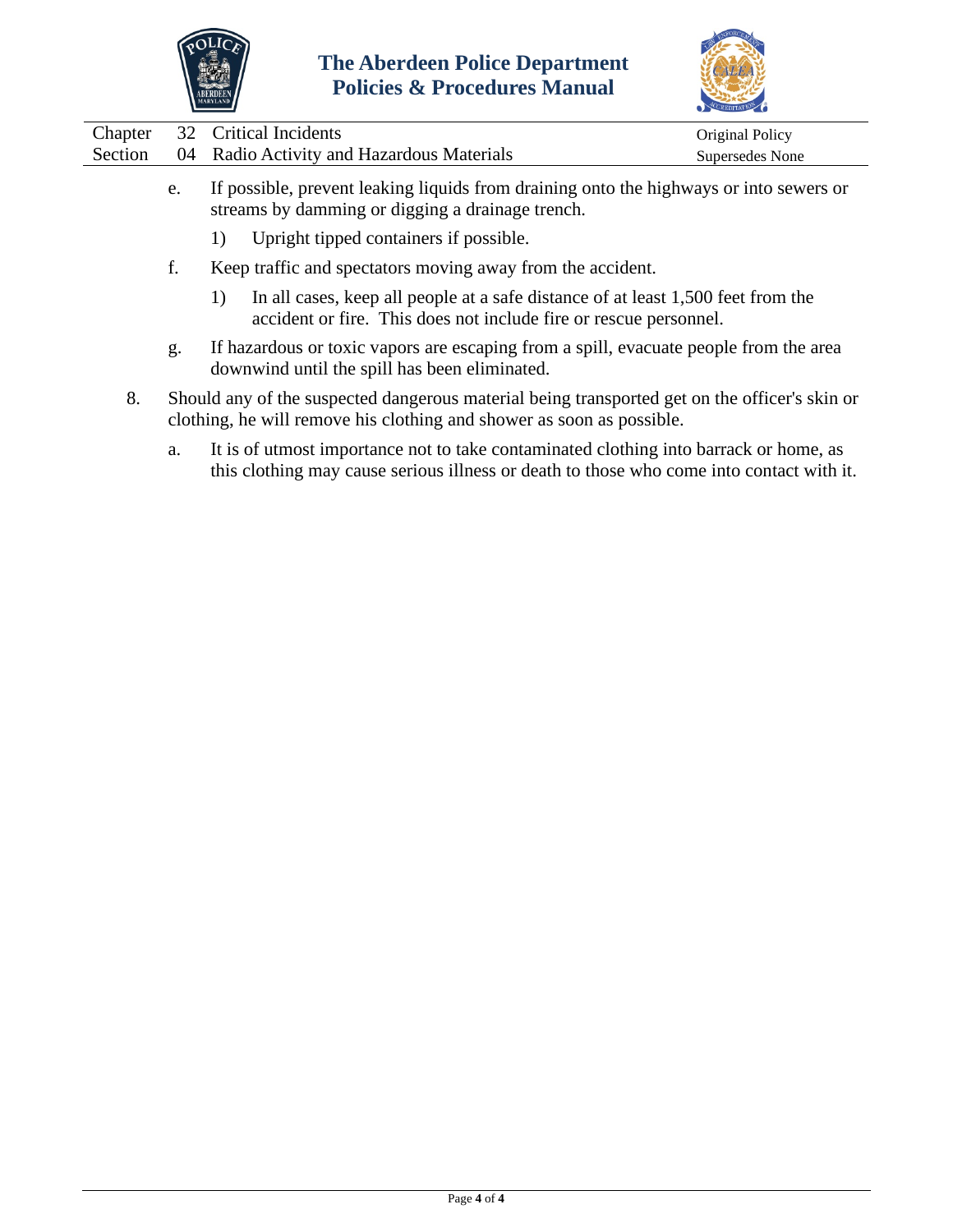



|         |                                           | $\sim$                 |
|---------|-------------------------------------------|------------------------|
|         | Chapter 32 Critical Incidents             | <b>Original Policy</b> |
| Section | 04 Radio Activity and Hazardous Materials | Supersedes None        |
|         |                                           |                        |

- e. If possible, prevent leaking liquids from draining onto the highways or into sewers or streams by damming or digging a drainage trench.
	- 1) Upright tipped containers if possible.
- f. Keep traffic and spectators moving away from the accident.
	- 1) In all cases, keep all people at a safe distance of at least 1,500 feet from the accident or fire. This does not include fire or rescue personnel.
- g. If hazardous or toxic vapors are escaping from a spill, evacuate people from the area downwind until the spill has been eliminated.
- 8. Should any of the suspected dangerous material being transported get on the officer's skin or clothing, he will remove his clothing and shower as soon as possible.
	- a. It is of utmost importance not to take contaminated clothing into barrack or home, as this clothing may cause serious illness or death to those who come into contact with it.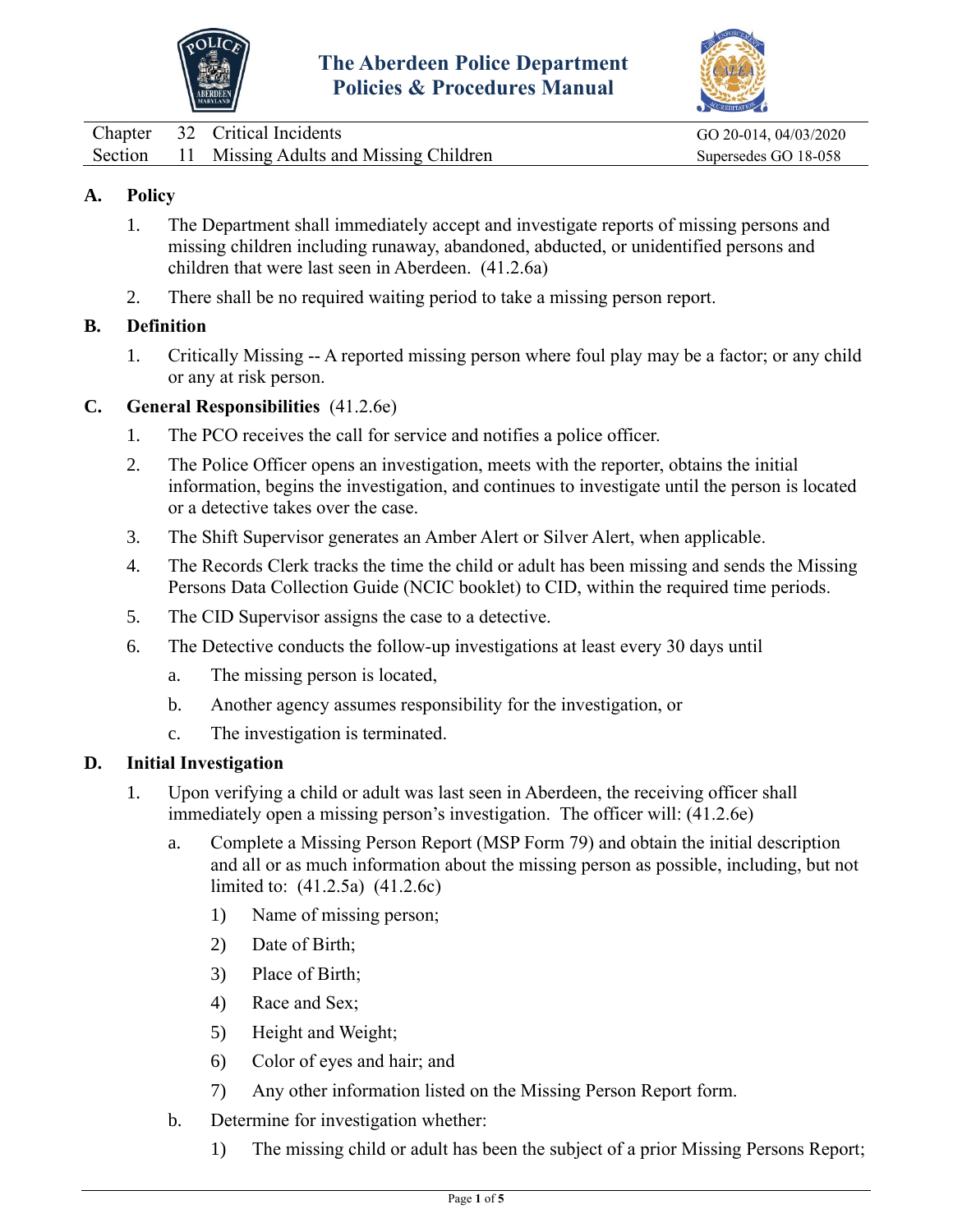



<span id="page-20-0"></span>

|  | Chapter 32 Critical Incidents                  | GO 20-014, 04/03/2020 |
|--|------------------------------------------------|-----------------------|
|  | Section 11 Missing Adults and Missing Children | Supersedes GO 18-058  |

# **A. Policy**

- 1. The Department shall immediately accept and investigate reports of missing persons and missing children including runaway, abandoned, abducted, or unidentified persons and children that were last seen in Aberdeen. (41.2.6a)
- 2. There shall be no required waiting period to take a missing person report.

# **B. Definition**

1. Critically Missing -- A reported missing person where foul play may be a factor; or any child or any at risk person.

## **C. General Responsibilities** (41.2.6e)

- 1. The PCO receives the call for service and notifies a police officer.
- 2. The Police Officer opens an investigation, meets with the reporter, obtains the initial information, begins the investigation, and continues to investigate until the person is located or a detective takes over the case.
- 3. The Shift Supervisor generates an Amber Alert or Silver Alert, when applicable.
- 4. The Records Clerk tracks the time the child or adult has been missing and sends the Missing Persons Data Collection Guide (NCIC booklet) to CID, within the required time periods.
- 5. The CID Supervisor assigns the case to a detective.
- 6. The Detective conducts the follow-up investigations at least every 30 days until
	- a. The missing person is located,
	- b. Another agency assumes responsibility for the investigation, or
	- c. The investigation is terminated.

## **D. Initial Investigation**

- 1. Upon verifying a child or adult was last seen in Aberdeen, the receiving officer shall immediately open a missing person's investigation. The officer will: (41.2.6e)
	- a. Complete a Missing Person Report (MSP Form 79) and obtain the initial description and all or as much information about the missing person as possible, including, but not limited to: (41.2.5a) (41.2.6c)
		- 1) Name of missing person;
		- 2) Date of Birth;
		- 3) Place of Birth;
		- 4) Race and Sex;
		- 5) Height and Weight;
		- 6) Color of eyes and hair; and
		- 7) Any other information listed on the Missing Person Report form.
	- b. Determine for investigation whether:
		- 1) The missing child or adult has been the subject of a prior Missing Persons Report;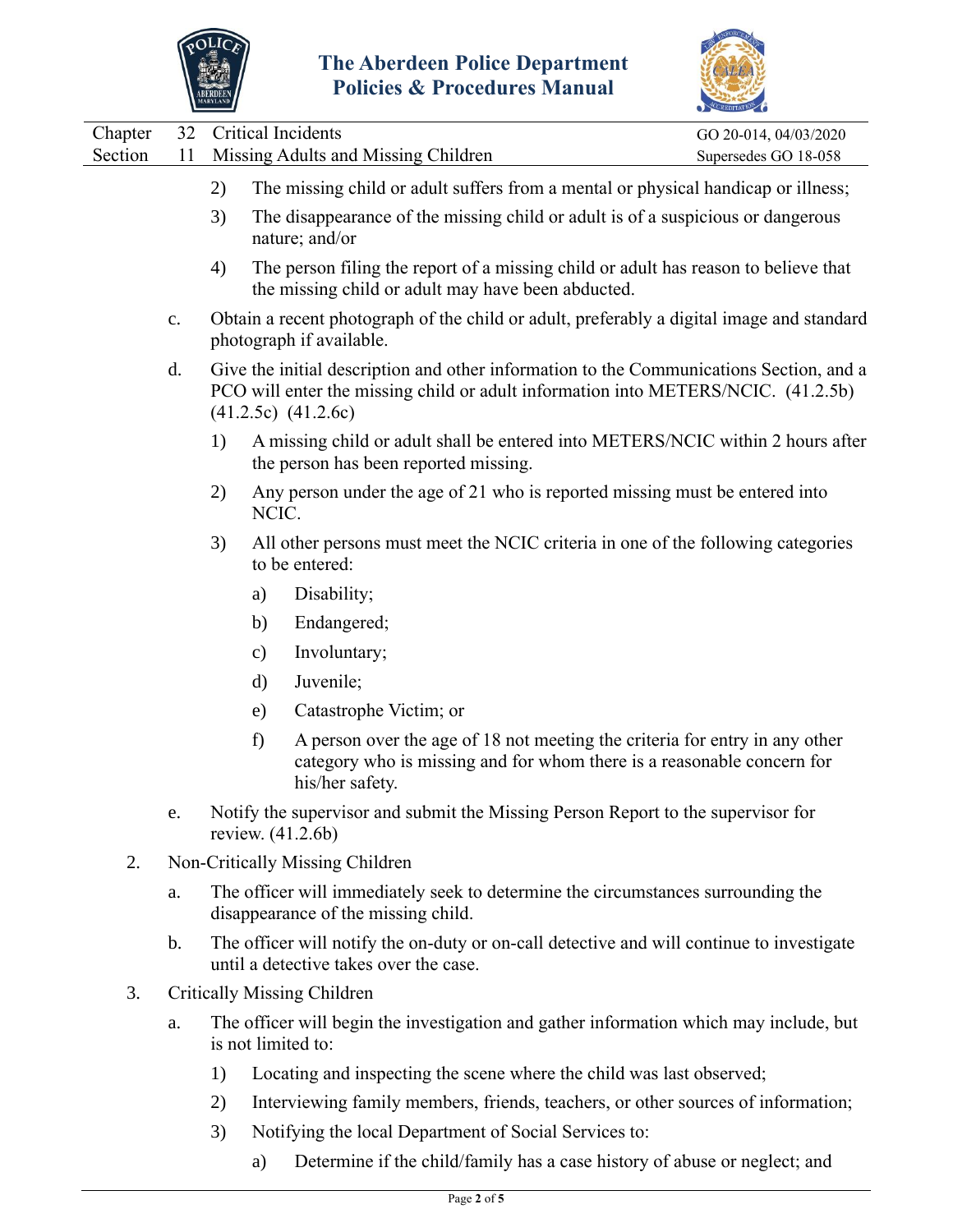



|                    |                |    |                                                                                                                                                                                                         | CCREDITATION                                  |  |
|--------------------|----------------|----|---------------------------------------------------------------------------------------------------------------------------------------------------------------------------------------------------------|-----------------------------------------------|--|
| Chapter<br>Section | 32<br>11       |    | Critical Incidents<br>Missing Adults and Missing Children                                                                                                                                               | GO 20-014, 04/03/2020<br>Supersedes GO 18-058 |  |
|                    |                | 2) | The missing child or adult suffers from a mental or physical handicap or illness;                                                                                                                       |                                               |  |
|                    |                | 3) | The disappearance of the missing child or adult is of a suspicious or dangerous<br>nature; and/or                                                                                                       |                                               |  |
|                    |                | 4) | The person filing the report of a missing child or adult has reason to believe that<br>the missing child or adult may have been abducted.                                                               |                                               |  |
|                    | $\mathbf{c}$ . |    | Obtain a recent photograph of the child or adult, preferably a digital image and standard<br>photograph if available.                                                                                   |                                               |  |
|                    | d.             |    | Give the initial description and other information to the Communications Section, and a<br>PCO will enter the missing child or adult information into METERS/NCIC. (41.2.5b)<br>$(41.2.5c)$ $(41.2.6c)$ |                                               |  |
|                    |                | 1) | A missing child or adult shall be entered into METERS/NCIC within 2 hours after<br>the person has been reported missing.                                                                                |                                               |  |
|                    |                | 2) | Any person under the age of 21 who is reported missing must be entered into<br>NCIC.                                                                                                                    |                                               |  |
|                    |                | 3) | All other persons must meet the NCIC criteria in one of the following categories<br>to be entered:                                                                                                      |                                               |  |
|                    |                |    | Disability;<br>a)                                                                                                                                                                                       |                                               |  |
|                    |                |    | Endangered;<br>b)                                                                                                                                                                                       |                                               |  |
|                    |                |    | Involuntary;<br>c)                                                                                                                                                                                      |                                               |  |
|                    |                |    | Juvenile;<br>d)                                                                                                                                                                                         |                                               |  |
|                    |                |    | Catastrophe Victim; or<br>e)                                                                                                                                                                            |                                               |  |
|                    |                |    | f)<br>A person over the age of 18 not meeting the criteria for entry in any other<br>category who is missing and for whom there is a reasonable concern for<br>his/her safety.                          |                                               |  |
|                    | e.             |    | Notify the supervisor and submit the Missing Person Report to the supervisor for<br>review. (41.2.6b)                                                                                                   |                                               |  |
| 2.                 |                |    | Non-Critically Missing Children                                                                                                                                                                         |                                               |  |
|                    | a.             |    | The officer will immediately seek to determine the circumstances surrounding the<br>disappearance of the missing child.                                                                                 |                                               |  |
|                    | $b$ .          |    | The officer will notify the on-duty or on-call detective and will continue to investigate<br>until a detective takes over the case.                                                                     |                                               |  |
| 3.                 |                |    | <b>Critically Missing Children</b>                                                                                                                                                                      |                                               |  |
|                    | a.             |    | The officer will begin the investigation and gather information which may include, but<br>is not limited to:                                                                                            |                                               |  |

- 1) Locating and inspecting the scene where the child was last observed;
- 2) Interviewing family members, friends, teachers, or other sources of information;
- 3) Notifying the local Department of Social Services to:
	- a) Determine if the child/family has a case history of abuse or neglect; and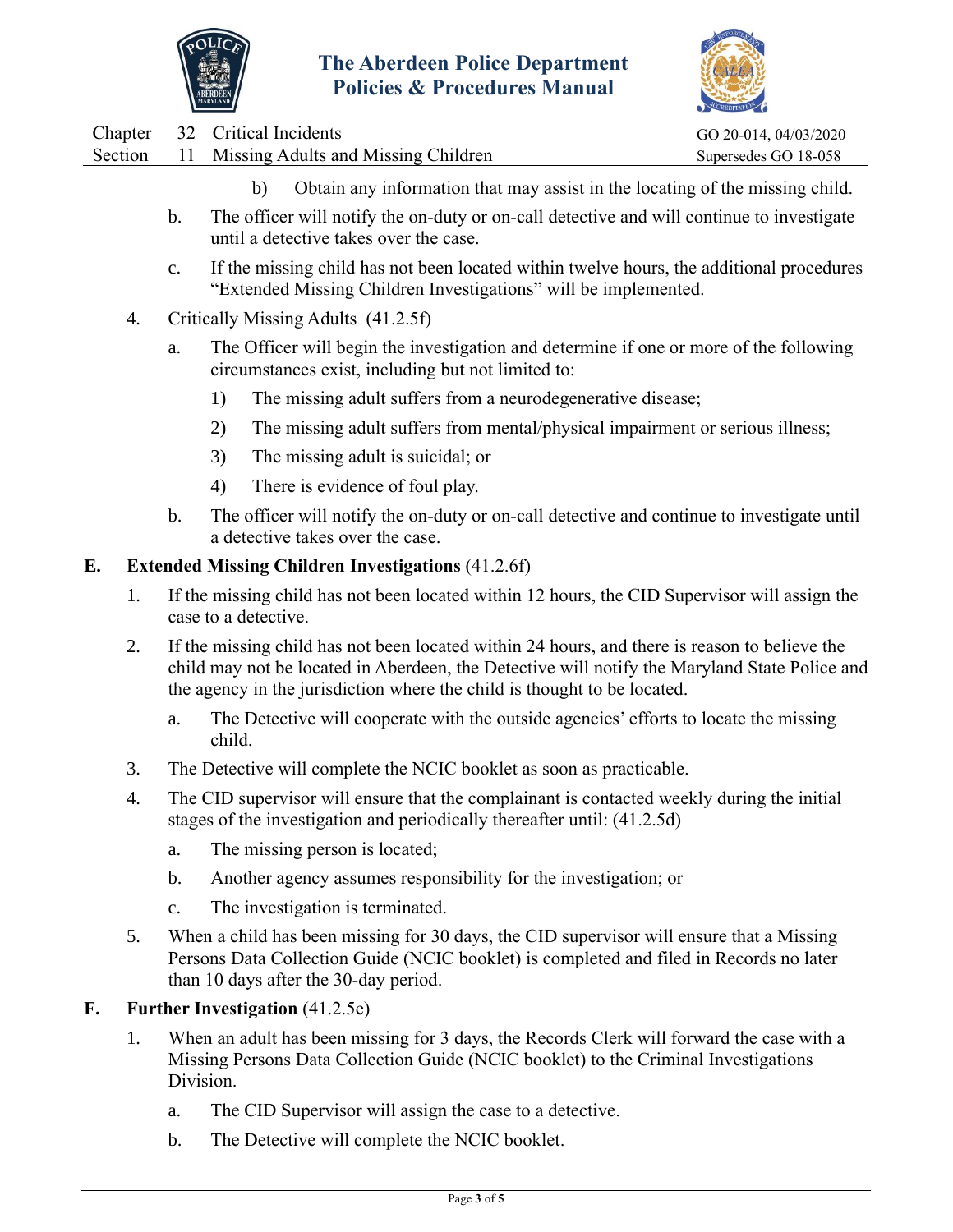



|  | Chapter 32 Critical Incidents                  | GO 20-014, 04/03/2020 |
|--|------------------------------------------------|-----------------------|
|  | Section 11 Missing Adults and Missing Children | Supersedes GO 18-058  |

- b) Obtain any information that may assist in the locating of the missing child.
- b. The officer will notify the on-duty or on-call detective and will continue to investigate until a detective takes over the case.
- c. If the missing child has not been located within twelve hours, the additional procedures "Extended Missing Children Investigations" will be implemented.
- 4. Critically Missing Adults (41.2.5f)
	- a. The Officer will begin the investigation and determine if one or more of the following circumstances exist, including but not limited to:
		- 1) The missing adult suffers from a neurodegenerative disease;
		- 2) The missing adult suffers from mental/physical impairment or serious illness;
		- 3) The missing adult is suicidal; or
		- 4) There is evidence of foul play.
	- b. The officer will notify the on-duty or on-call detective and continue to investigate until a detective takes over the case.

## **E. Extended Missing Children Investigations** (41.2.6f)

- 1. If the missing child has not been located within 12 hours, the CID Supervisor will assign the case to a detective.
- 2. If the missing child has not been located within 24 hours, and there is reason to believe the child may not be located in Aberdeen, the Detective will notify the Maryland State Police and the agency in the jurisdiction where the child is thought to be located.
	- a. The Detective will cooperate with the outside agencies' efforts to locate the missing child.
- 3. The Detective will complete the NCIC booklet as soon as practicable.
- 4. The CID supervisor will ensure that the complainant is contacted weekly during the initial stages of the investigation and periodically thereafter until: (41.2.5d)
	- a. The missing person is located;
	- b. Another agency assumes responsibility for the investigation; or
	- c. The investigation is terminated.
- 5. When a child has been missing for 30 days, the CID supervisor will ensure that a Missing Persons Data Collection Guide (NCIC booklet) is completed and filed in Records no later than 10 days after the 30-day period.

## **F. Further Investigation** (41.2.5e)

- 1. When an adult has been missing for 3 days, the Records Clerk will forward the case with a Missing Persons Data Collection Guide (NCIC booklet) to the Criminal Investigations Division.
	- a. The CID Supervisor will assign the case to a detective.
	- b. The Detective will complete the NCIC booklet.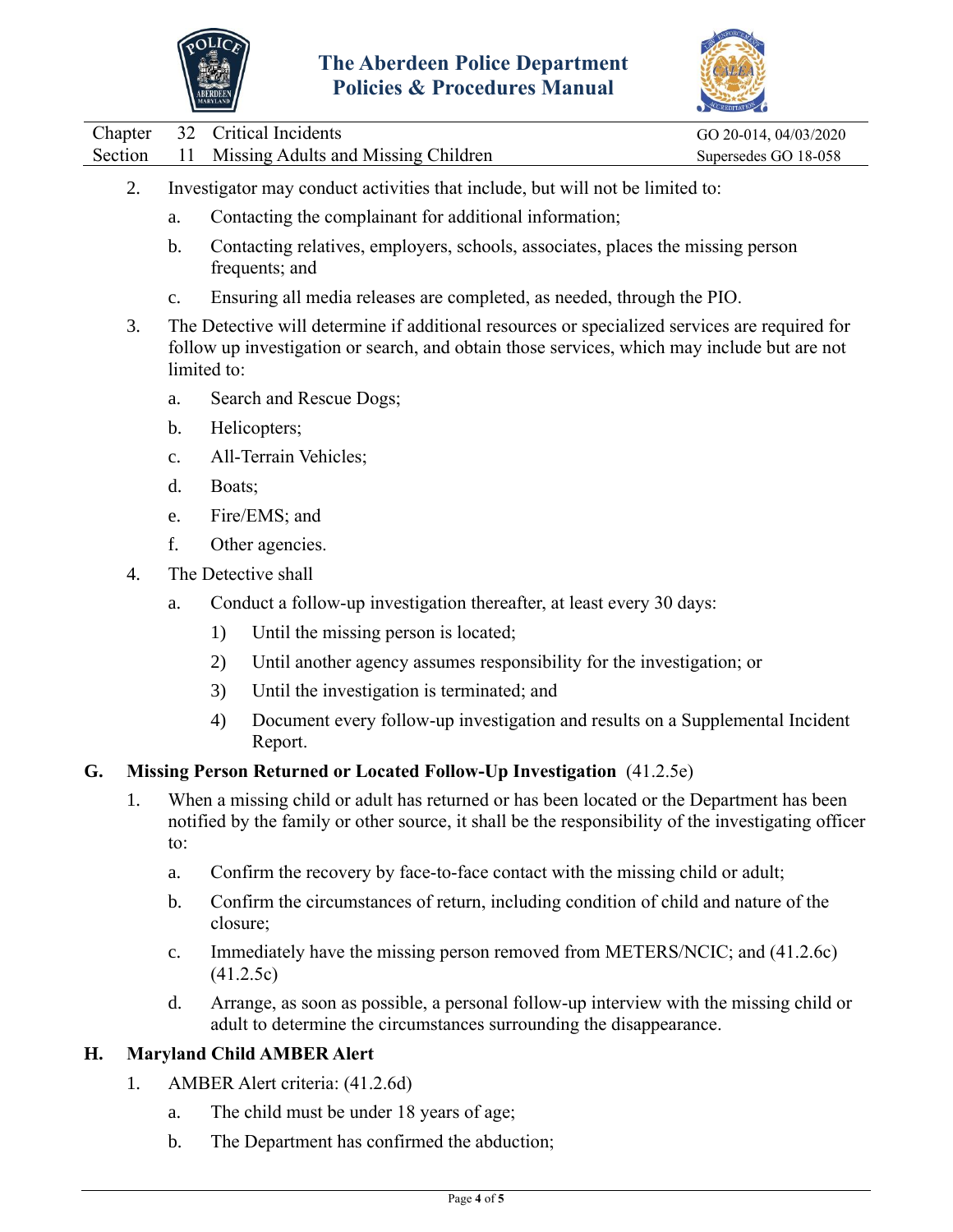

 $\overline{\phantom{0}}$ 

L,



|         |                                                                                                                                                                                                         | <b>ABERDEEN</b>                                                                                                                                                                                             | <b>Policies &amp; Procedures Manual</b>                                                         |                       |  |  |  |
|---------|---------------------------------------------------------------------------------------------------------------------------------------------------------------------------------------------------------|-------------------------------------------------------------------------------------------------------------------------------------------------------------------------------------------------------------|-------------------------------------------------------------------------------------------------|-----------------------|--|--|--|
| Chapter | 32                                                                                                                                                                                                      |                                                                                                                                                                                                             | <b>Critical Incidents</b>                                                                       | GO 20-014, 04/03/2020 |  |  |  |
| Section | 11                                                                                                                                                                                                      |                                                                                                                                                                                                             | Missing Adults and Missing Children                                                             | Supersedes GO 18-058  |  |  |  |
| 2.      |                                                                                                                                                                                                         | Investigator may conduct activities that include, but will not be limited to:                                                                                                                               |                                                                                                 |                       |  |  |  |
|         | a.                                                                                                                                                                                                      |                                                                                                                                                                                                             | Contacting the complainant for additional information;                                          |                       |  |  |  |
|         | b.                                                                                                                                                                                                      | Contacting relatives, employers, schools, associates, places the missing person<br>frequents; and                                                                                                           |                                                                                                 |                       |  |  |  |
|         | $C_{\bullet}$                                                                                                                                                                                           | Ensuring all media releases are completed, as needed, through the PIO.                                                                                                                                      |                                                                                                 |                       |  |  |  |
| 3.      |                                                                                                                                                                                                         | The Detective will determine if additional resources or specialized services are required for<br>follow up investigation or search, and obtain those services, which may include but are not<br>limited to: |                                                                                                 |                       |  |  |  |
|         | a.                                                                                                                                                                                                      | Search and Rescue Dogs;                                                                                                                                                                                     |                                                                                                 |                       |  |  |  |
|         | b.                                                                                                                                                                                                      | Helicopters;                                                                                                                                                                                                |                                                                                                 |                       |  |  |  |
|         | $\mathbf{c}$ .                                                                                                                                                                                          |                                                                                                                                                                                                             | All-Terrain Vehicles;                                                                           |                       |  |  |  |
|         | d.                                                                                                                                                                                                      | Boats;                                                                                                                                                                                                      |                                                                                                 |                       |  |  |  |
|         | e.                                                                                                                                                                                                      |                                                                                                                                                                                                             | Fire/EMS; and                                                                                   |                       |  |  |  |
|         | f.                                                                                                                                                                                                      | Other agencies.                                                                                                                                                                                             |                                                                                                 |                       |  |  |  |
| 4.      | The Detective shall                                                                                                                                                                                     |                                                                                                                                                                                                             |                                                                                                 |                       |  |  |  |
|         | a.                                                                                                                                                                                                      |                                                                                                                                                                                                             | Conduct a follow-up investigation thereafter, at least every 30 days:                           |                       |  |  |  |
|         |                                                                                                                                                                                                         | 1)                                                                                                                                                                                                          | Until the missing person is located;                                                            |                       |  |  |  |
|         |                                                                                                                                                                                                         | 2)                                                                                                                                                                                                          | Until another agency assumes responsibility for the investigation; or                           |                       |  |  |  |
|         |                                                                                                                                                                                                         | 3)                                                                                                                                                                                                          | Until the investigation is terminated; and                                                      |                       |  |  |  |
|         |                                                                                                                                                                                                         | 4)                                                                                                                                                                                                          | Document every follow-up investigation and results on a Supplemental Incident<br>Report.        |                       |  |  |  |
| G.      |                                                                                                                                                                                                         |                                                                                                                                                                                                             | Missing Person Returned or Located Follow-Up Investigation (41.2.5e)                            |                       |  |  |  |
| 1.      | When a missing child or adult has returned or has been located or the Department has been<br>notified by the family or other source, it shall be the responsibility of the investigating officer<br>to: |                                                                                                                                                                                                             |                                                                                                 |                       |  |  |  |
|         | a.                                                                                                                                                                                                      |                                                                                                                                                                                                             | Confirm the recovery by face-to-face contact with the missing child or adult;                   |                       |  |  |  |
|         | b.                                                                                                                                                                                                      |                                                                                                                                                                                                             | Confirm the circumstances of return, including condition of child and nature of the<br>closure; |                       |  |  |  |
|         | $\mathbf{c}$ .                                                                                                                                                                                          | Immediately have the missing person removed from METERS/NCIC; and (41.2.6c)<br>(41.2.5c)                                                                                                                    |                                                                                                 |                       |  |  |  |
|         | d.                                                                                                                                                                                                      | Arrange, as soon as possible, a personal follow-up interview with the missing child or<br>adult to determine the circumstances surrounding the disappearance.                                               |                                                                                                 |                       |  |  |  |
| Н.      |                                                                                                                                                                                                         |                                                                                                                                                                                                             | <b>Maryland Child AMBER Alert</b>                                                               |                       |  |  |  |

- 1. AMBER Alert criteria: (41.2.6d)
	- a. The child must be under 18 years of age;
	- b. The Department has confirmed the abduction;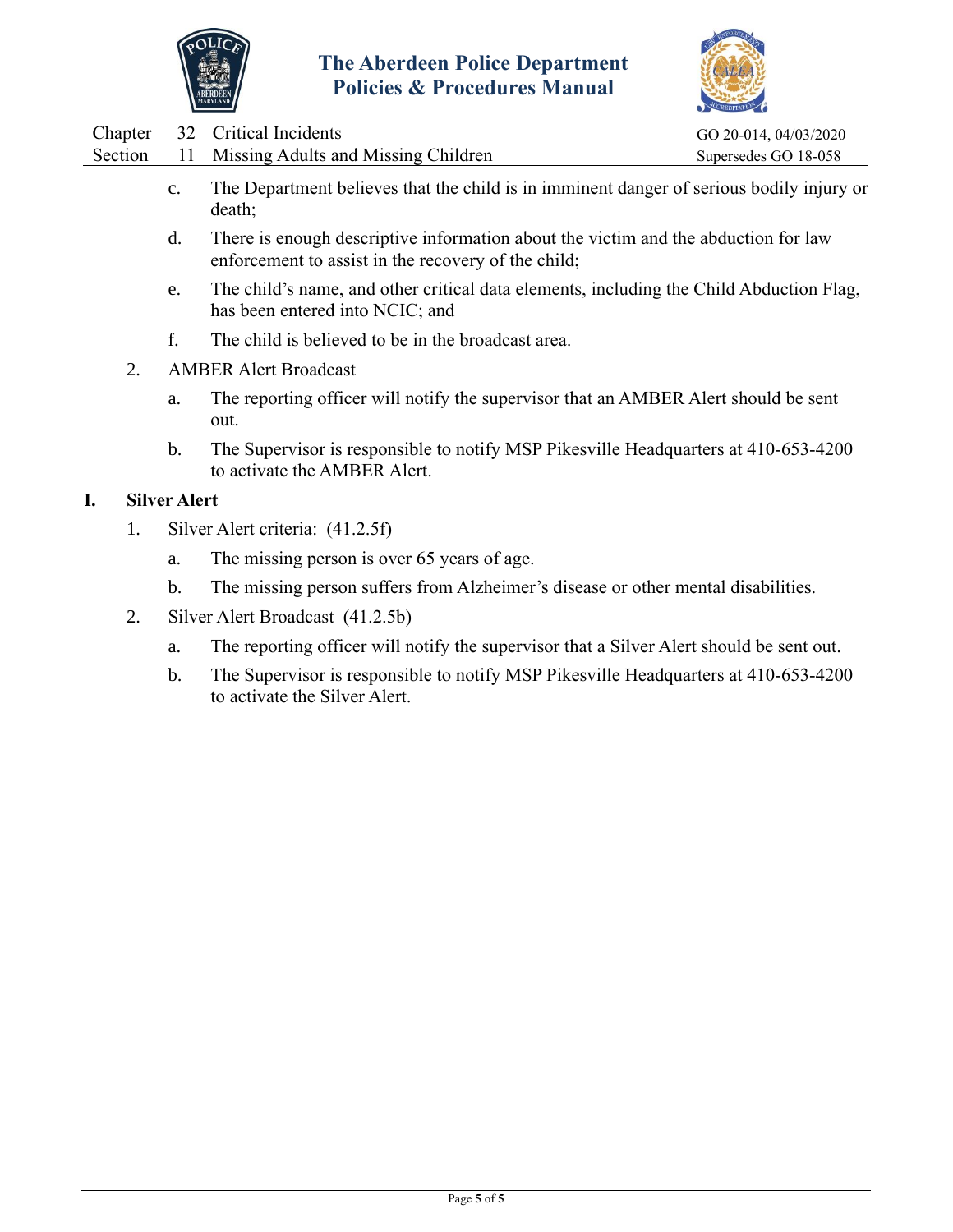



|                | $\sum_{i=1}^{n}$                                                                                                                          |                       |
|----------------|-------------------------------------------------------------------------------------------------------------------------------------------|-----------------------|
|                |                                                                                                                                           | GO 20-014, 04/03/2020 |
| 11             | Missing Adults and Missing Children                                                                                                       | Supersedes GO 18-058  |
| $\mathbf{c}$ . | The Department believes that the child is in imminent danger of serious bodily injury or<br>death;                                        |                       |
| d.             | There is enough descriptive information about the victim and the abduction for law<br>enforcement to assist in the recovery of the child; |                       |
|                |                                                                                                                                           | 32 Critical Incidents |

- e. The child's name, and other critical data elements, including the Child Abduction Flag, has been entered into NCIC; and
- f. The child is believed to be in the broadcast area.
- 2. AMBER Alert Broadcast
	- a. The reporting officer will notify the supervisor that an AMBER Alert should be sent out.
	- b. The Supervisor is responsible to notify MSP Pikesville Headquarters at 410-653-4200 to activate the AMBER Alert.

## **I. Silver Alert**

- 1. Silver Alert criteria: (41.2.5f)
	- a. The missing person is over 65 years of age.
	- b. The missing person suffers from Alzheimer's disease or other mental disabilities.
- 2. Silver Alert Broadcast (41.2.5b)
	- a. The reporting officer will notify the supervisor that a Silver Alert should be sent out.
	- b. The Supervisor is responsible to notify MSP Pikesville Headquarters at 410-653-4200 to activate the Silver Alert.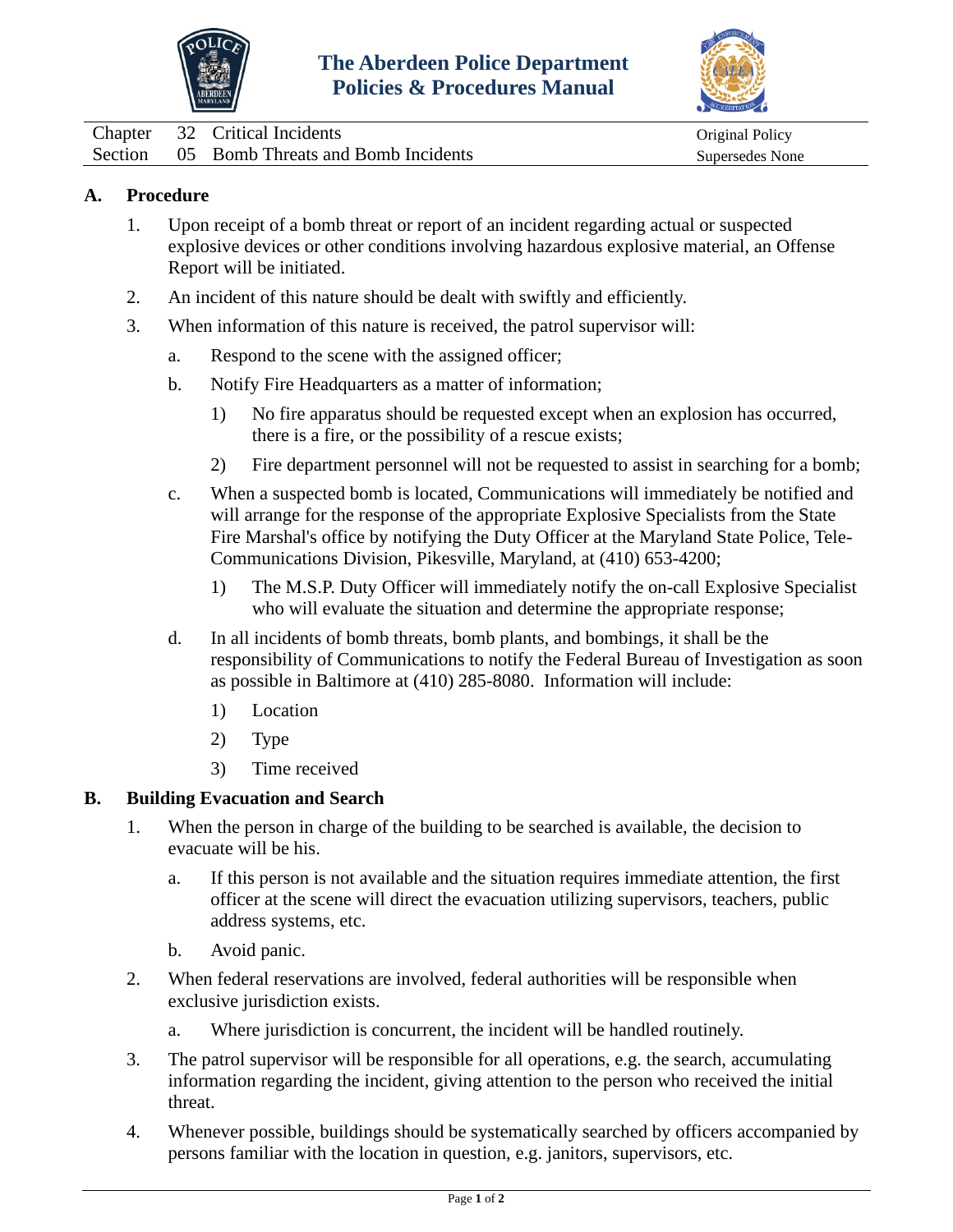



<span id="page-25-0"></span>

|  | Chapter 32 Critical Incidents              |
|--|--------------------------------------------|
|  | Section 05 Bomb Threats and Bomb Incidents |

Original Policy Supersedes None

# **A. Procedure**

- 1. Upon receipt of a bomb threat or report of an incident regarding actual or suspected explosive devices or other conditions involving hazardous explosive material, an Offense Report will be initiated.
- 2. An incident of this nature should be dealt with swiftly and efficiently.
- 3. When information of this nature is received, the patrol supervisor will:
	- a. Respond to the scene with the assigned officer;
	- b. Notify Fire Headquarters as a matter of information;
		- 1) No fire apparatus should be requested except when an explosion has occurred, there is a fire, or the possibility of a rescue exists;
		- 2) Fire department personnel will not be requested to assist in searching for a bomb;
	- c. When a suspected bomb is located, Communications will immediately be notified and will arrange for the response of the appropriate Explosive Specialists from the State Fire Marshal's office by notifying the Duty Officer at the Maryland State Police, Tele-Communications Division, Pikesville, Maryland, at (410) 653-4200;
		- 1) The M.S.P. Duty Officer will immediately notify the on-call Explosive Specialist who will evaluate the situation and determine the appropriate response;
	- d. In all incidents of bomb threats, bomb plants, and bombings, it shall be the responsibility of Communications to notify the Federal Bureau of Investigation as soon as possible in Baltimore at (410) 285-8080. Information will include:
		- 1) Location
		- 2) Type
		- 3) Time received

## **B. Building Evacuation and Search**

- 1. When the person in charge of the building to be searched is available, the decision to evacuate will be his.
	- a. If this person is not available and the situation requires immediate attention, the first officer at the scene will direct the evacuation utilizing supervisors, teachers, public address systems, etc.
	- b. Avoid panic.
- 2. When federal reservations are involved, federal authorities will be responsible when exclusive jurisdiction exists.
	- a. Where jurisdiction is concurrent, the incident will be handled routinely.
- 3. The patrol supervisor will be responsible for all operations, e.g. the search, accumulating information regarding the incident, giving attention to the person who received the initial threat.
- 4. Whenever possible, buildings should be systematically searched by officers accompanied by persons familiar with the location in question, e.g. janitors, supervisors, etc.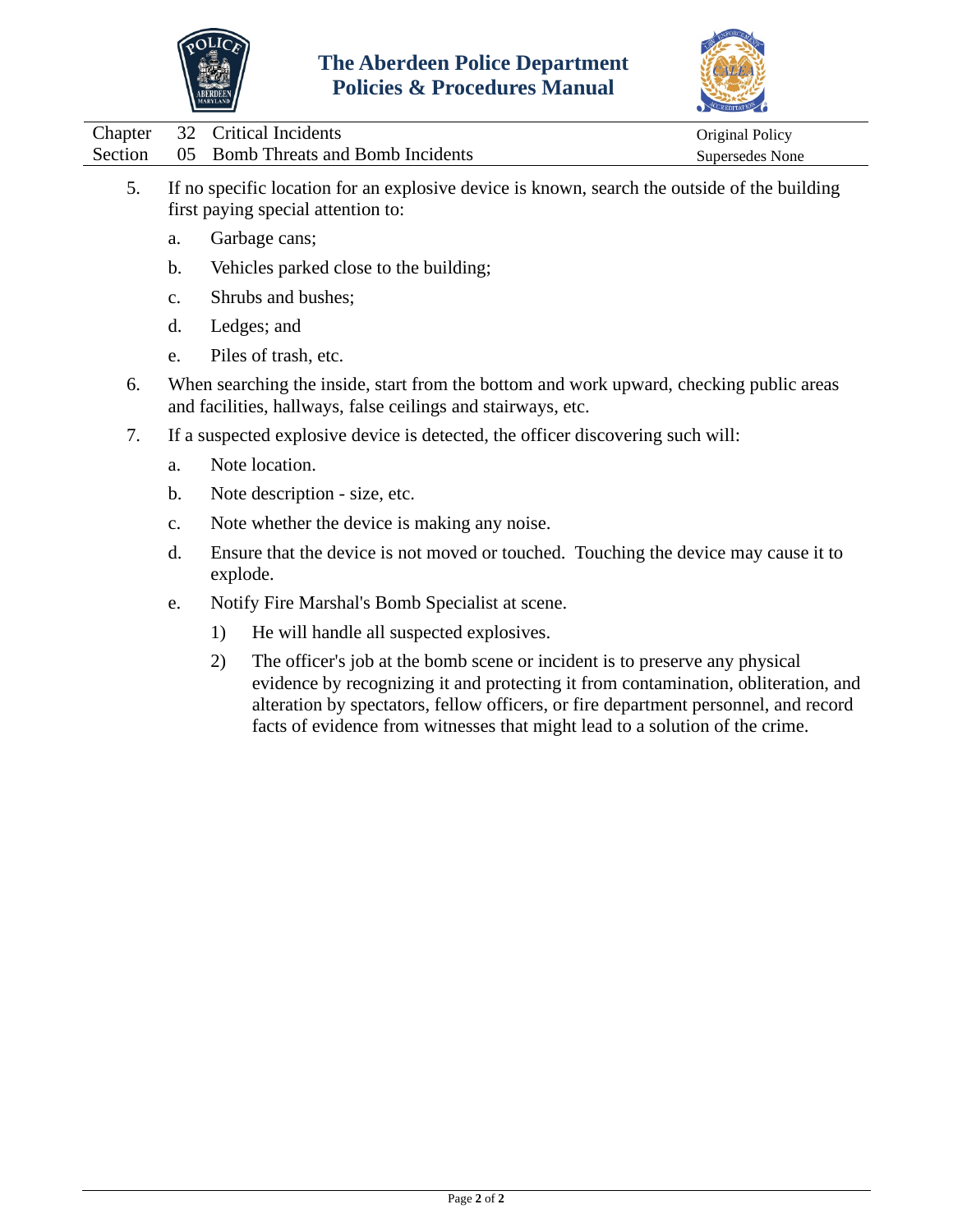



|  | Chapter 32 Critical Incidents              | Original Policy |
|--|--------------------------------------------|-----------------|
|  | Section 05 Bomb Threats and Bomb Incidents | Supersedes None |

- 5. If no specific location for an explosive device is known, search the outside of the building first paying special attention to:
	- a. Garbage cans;
	- b. Vehicles parked close to the building;
	- c. Shrubs and bushes;
	- d. Ledges; and
	- e. Piles of trash, etc.
- 6. When searching the inside, start from the bottom and work upward, checking public areas and facilities, hallways, false ceilings and stairways, etc.
- 7. If a suspected explosive device is detected, the officer discovering such will:
	- a. Note location.
	- b. Note description size, etc.
	- c. Note whether the device is making any noise.
	- d. Ensure that the device is not moved or touched. Touching the device may cause it to explode.
	- e. Notify Fire Marshal's Bomb Specialist at scene.
		- 1) He will handle all suspected explosives.
		- 2) The officer's job at the bomb scene or incident is to preserve any physical evidence by recognizing it and protecting it from contamination, obliteration, and alteration by spectators, fellow officers, or fire department personnel, and record facts of evidence from witnesses that might lead to a solution of the crime.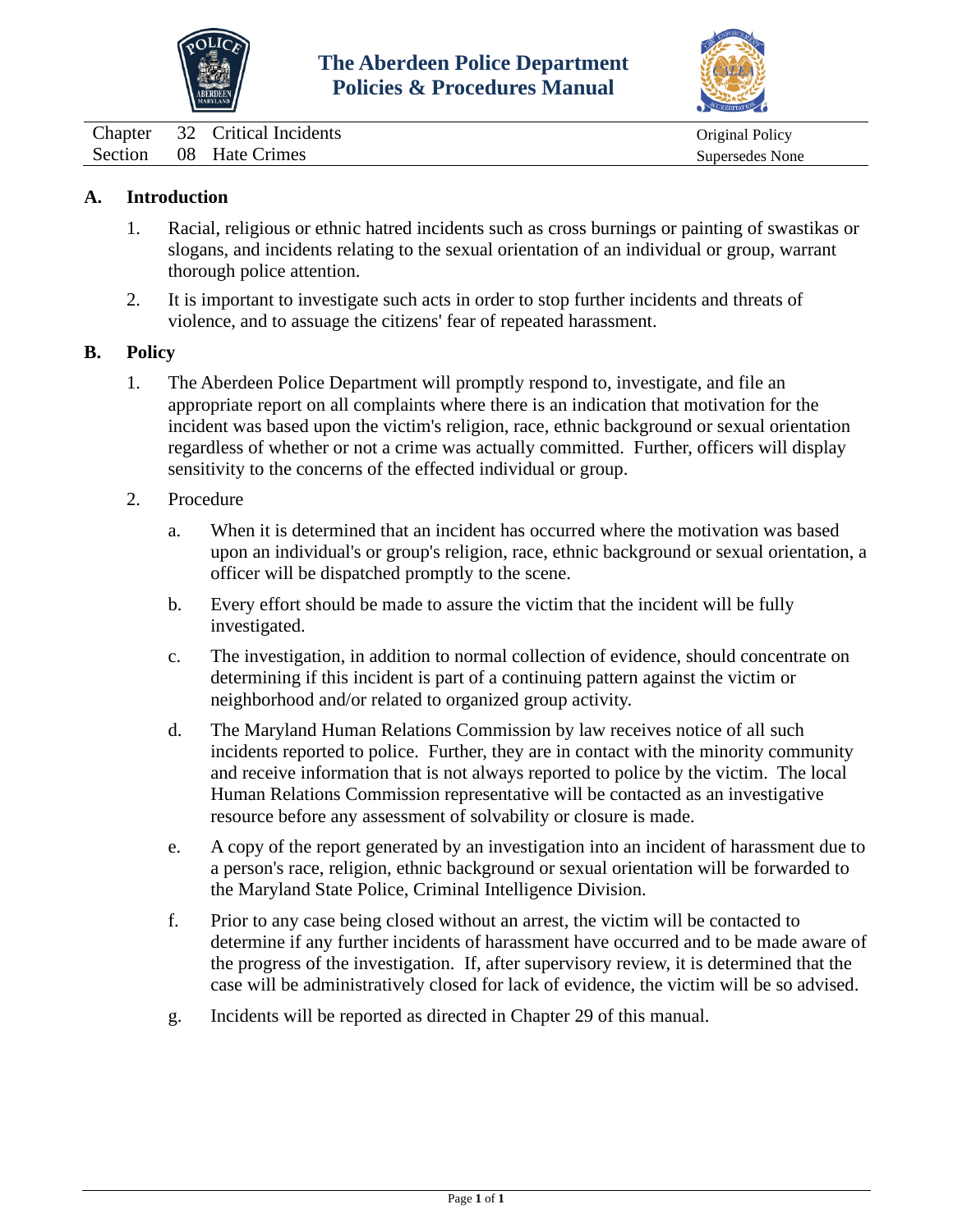



<span id="page-27-0"></span>Chapter 32 Critical Incidents Chapter 32 Critical Incidents Original Policy Section 08 Hate Crimes Supersedes None

## **A. Introduction**

- 1. Racial, religious or ethnic hatred incidents such as cross burnings or painting of swastikas or slogans, and incidents relating to the sexual orientation of an individual or group, warrant thorough police attention.
- 2. It is important to investigate such acts in order to stop further incidents and threats of violence, and to assuage the citizens' fear of repeated harassment.

#### **B. Policy**

- 1. The Aberdeen Police Department will promptly respond to, investigate, and file an appropriate report on all complaints where there is an indication that motivation for the incident was based upon the victim's religion, race, ethnic background or sexual orientation regardless of whether or not a crime was actually committed. Further, officers will display sensitivity to the concerns of the effected individual or group.
- 2. Procedure
	- a. When it is determined that an incident has occurred where the motivation was based upon an individual's or group's religion, race, ethnic background or sexual orientation, a officer will be dispatched promptly to the scene.
	- b. Every effort should be made to assure the victim that the incident will be fully investigated.
	- c. The investigation, in addition to normal collection of evidence, should concentrate on determining if this incident is part of a continuing pattern against the victim or neighborhood and/or related to organized group activity.
	- d. The Maryland Human Relations Commission by law receives notice of all such incidents reported to police. Further, they are in contact with the minority community and receive information that is not always reported to police by the victim. The local Human Relations Commission representative will be contacted as an investigative resource before any assessment of solvability or closure is made.
	- e. A copy of the report generated by an investigation into an incident of harassment due to a person's race, religion, ethnic background or sexual orientation will be forwarded to the Maryland State Police, Criminal Intelligence Division.
	- f. Prior to any case being closed without an arrest, the victim will be contacted to determine if any further incidents of harassment have occurred and to be made aware of the progress of the investigation. If, after supervisory review, it is determined that the case will be administratively closed for lack of evidence, the victim will be so advised.
	- g. Incidents will be reported as directed in Chapter 29 of this manual.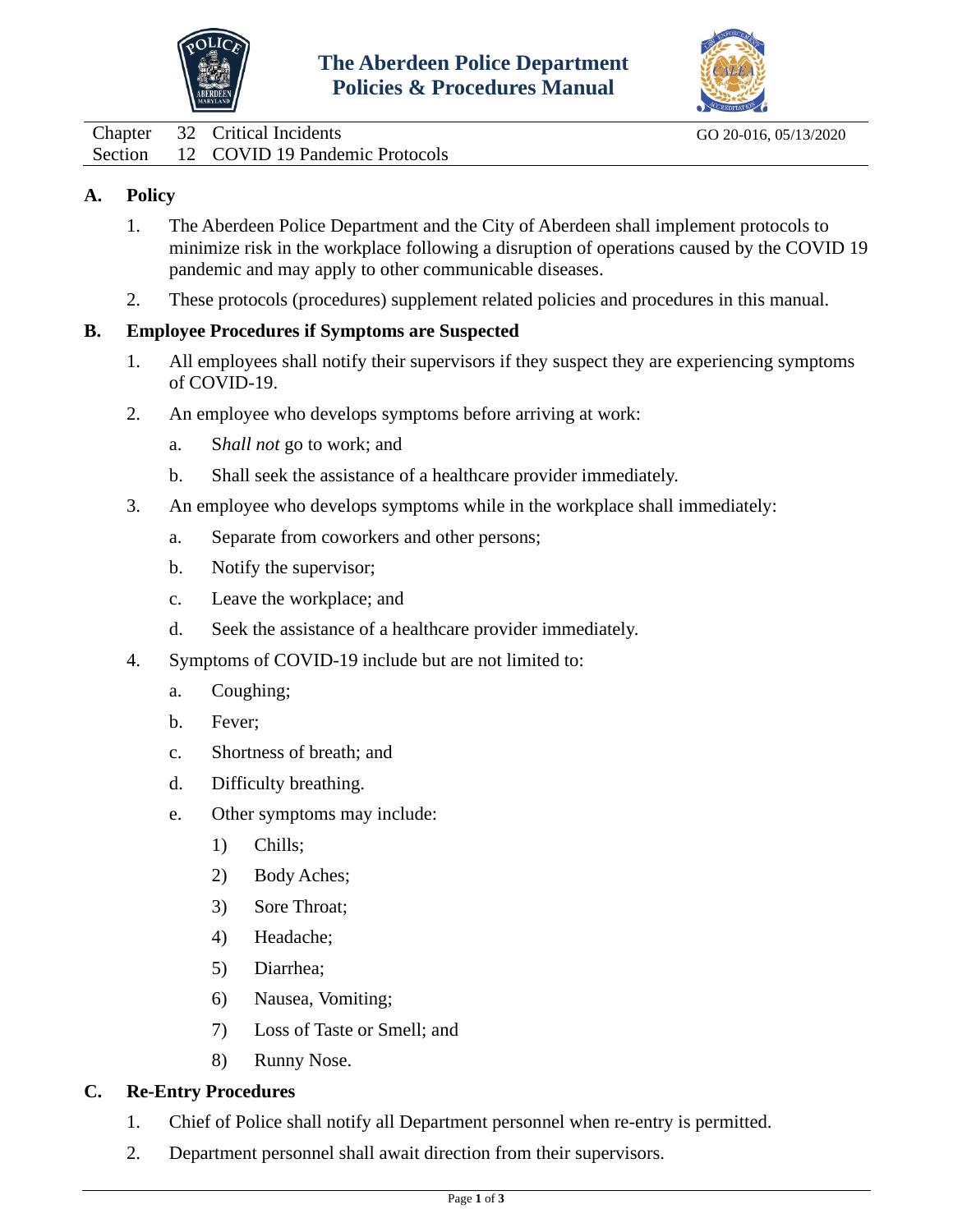



<span id="page-28-0"></span>Chapter 32 Critical Incidents Go 20-016, 05/13/2020 Section 12 COVID 19 Pandemic Protocols

## **A. Policy**

- 1. The Aberdeen Police Department and the City of Aberdeen shall implement protocols to minimize risk in the workplace following a disruption of operations caused by the COVID 19 pandemic and may apply to other communicable diseases.
- 2. These protocols (procedures) supplement related policies and procedures in this manual.

## **B. Employee Procedures if Symptoms are Suspected**

- 1. All employees shall notify their supervisors if they suspect they are experiencing symptoms of COVID-19.
- 2. An employee who develops symptoms before arriving at work:
	- a. S*hall not* go to work; and
	- b. Shall seek the assistance of a healthcare provider immediately.
- 3. An employee who develops symptoms while in the workplace shall immediately:
	- a. Separate from coworkers and other persons;
	- b. Notify the supervisor;
	- c. Leave the workplace; and
	- d. Seek the assistance of a healthcare provider immediately.
- 4. Symptoms of COVID-19 include but are not limited to:
	- a. Coughing;
	- b. Fever;
	- c. Shortness of breath; and
	- d. Difficulty breathing.
	- e. Other symptoms may include:
		- 1) Chills;
		- 2) Body Aches;
		- 3) Sore Throat;
		- 4) Headache;
		- 5) Diarrhea;
		- 6) Nausea, Vomiting;
		- 7) Loss of Taste or Smell; and
		- 8) Runny Nose.

# **C. Re-Entry Procedures**

- 1. Chief of Police shall notify all Department personnel when re-entry is permitted.
- 2. Department personnel shall await direction from their supervisors.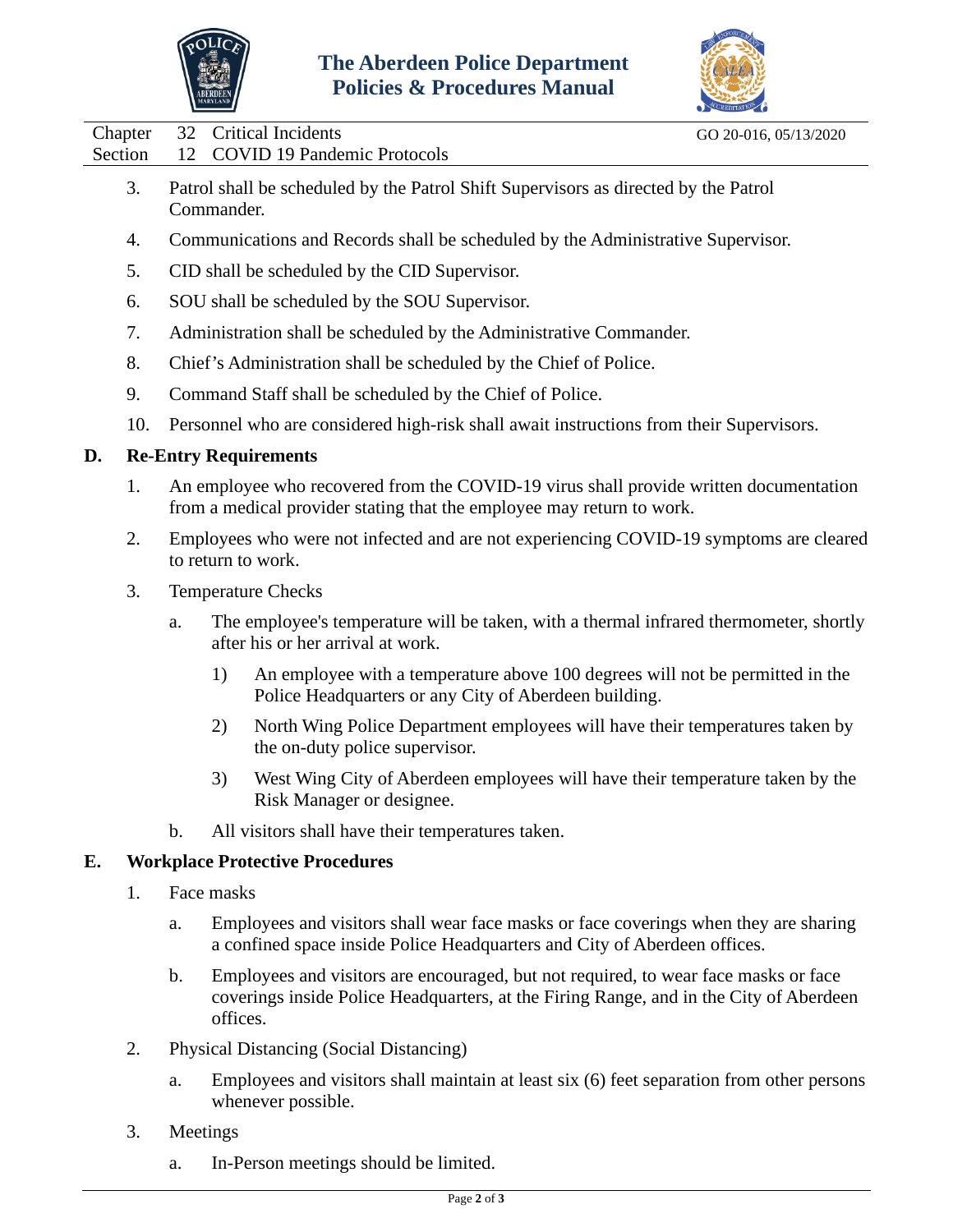



Chapter 32 Critical Incidents Go 20-016, 05/13/2020 Section 12 COVID 19 Pandemic Protocols

- 3. Patrol shall be scheduled by the Patrol Shift Supervisors as directed by the Patrol Commander.
- 4. Communications and Records shall be scheduled by the Administrative Supervisor.
- 5. CID shall be scheduled by the CID Supervisor.
- 6. SOU shall be scheduled by the SOU Supervisor.
- 7. Administration shall be scheduled by the Administrative Commander.
- 8. Chief's Administration shall be scheduled by the Chief of Police.
- 9. Command Staff shall be scheduled by the Chief of Police.
- 10. Personnel who are considered high-risk shall await instructions from their Supervisors.

## **D. Re-Entry Requirements**

- 1. An employee who recovered from the COVID-19 virus shall provide written documentation from a medical provider stating that the employee may return to work.
- 2. Employees who were not infected and are not experiencing COVID-19 symptoms are cleared to return to work.
- 3. Temperature Checks
	- a. The employee's temperature will be taken, with a thermal infrared thermometer, shortly after his or her arrival at work.
		- 1) An employee with a temperature above 100 degrees will not be permitted in the Police Headquarters or any City of Aberdeen building.
		- 2) North Wing Police Department employees will have their temperatures taken by the on-duty police supervisor.
		- 3) West Wing City of Aberdeen employees will have their temperature taken by the Risk Manager or designee.
	- b. All visitors shall have their temperatures taken.

#### **E. Workplace Protective Procedures**

- 1. Face masks
	- a. Employees and visitors shall wear face masks or face coverings when they are sharing a confined space inside Police Headquarters and City of Aberdeen offices.
	- b. Employees and visitors are encouraged, but not required, to wear face masks or face coverings inside Police Headquarters, at the Firing Range, and in the City of Aberdeen offices.
- 2. Physical Distancing (Social Distancing)
	- a. Employees and visitors shall maintain at least six (6) feet separation from other persons whenever possible.
- 3. Meetings
	- a. In-Person meetings should be limited.